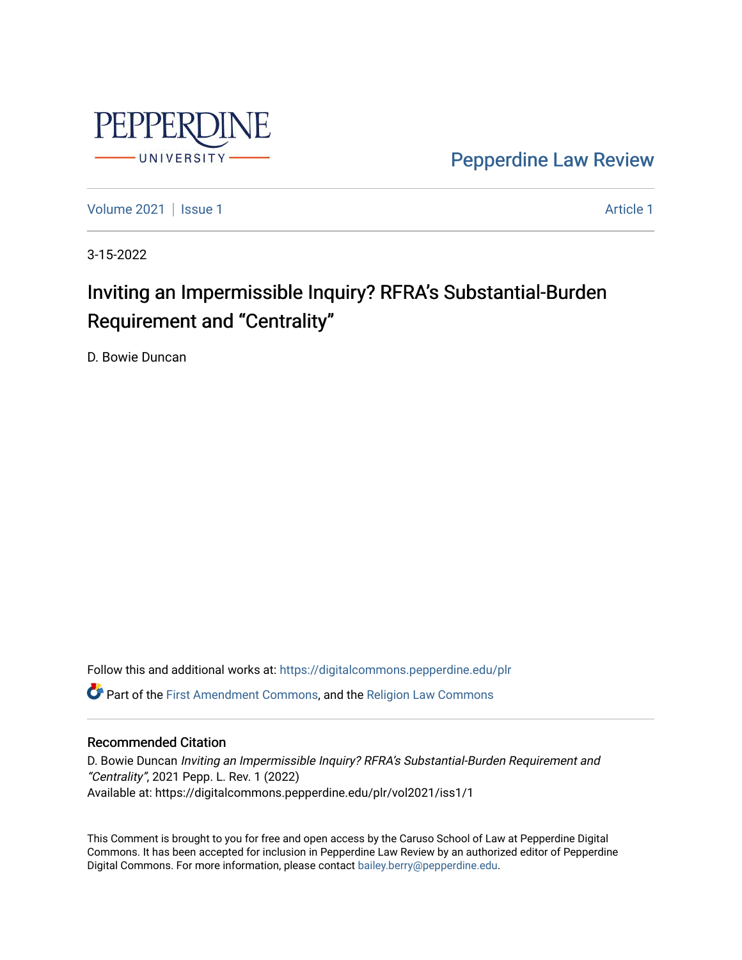

[Pepperdine Law Review](https://digitalcommons.pepperdine.edu/plr) 

[Volume 2021](https://digitalcommons.pepperdine.edu/plr/vol2021) | [Issue 1](https://digitalcommons.pepperdine.edu/plr/vol2021/iss1) Article 1

3-15-2022

# Inviting an Impermissible Inquiry? RFRA's Substantial-Burden Requirement and "Centrality"

D. Bowie Duncan

Follow this and additional works at: [https://digitalcommons.pepperdine.edu/plr](https://digitalcommons.pepperdine.edu/plr?utm_source=digitalcommons.pepperdine.edu%2Fplr%2Fvol2021%2Fiss1%2F1&utm_medium=PDF&utm_campaign=PDFCoverPages) Part of the [First Amendment Commons,](http://network.bepress.com/hgg/discipline/1115?utm_source=digitalcommons.pepperdine.edu%2Fplr%2Fvol2021%2Fiss1%2F1&utm_medium=PDF&utm_campaign=PDFCoverPages) and the [Religion Law Commons](http://network.bepress.com/hgg/discipline/872?utm_source=digitalcommons.pepperdine.edu%2Fplr%2Fvol2021%2Fiss1%2F1&utm_medium=PDF&utm_campaign=PDFCoverPages) 

# Recommended Citation

D. Bowie Duncan Inviting an Impermissible Inquiry? RFRA's Substantial-Burden Requirement and "Centrality", 2021 Pepp. L. Rev. 1 (2022) Available at: https://digitalcommons.pepperdine.edu/plr/vol2021/iss1/1

This Comment is brought to you for free and open access by the Caruso School of Law at Pepperdine Digital Commons. It has been accepted for inclusion in Pepperdine Law Review by an authorized editor of Pepperdine Digital Commons. For more information, please contact [bailey.berry@pepperdine.edu.](mailto:bailey.berry@pepperdine.edu)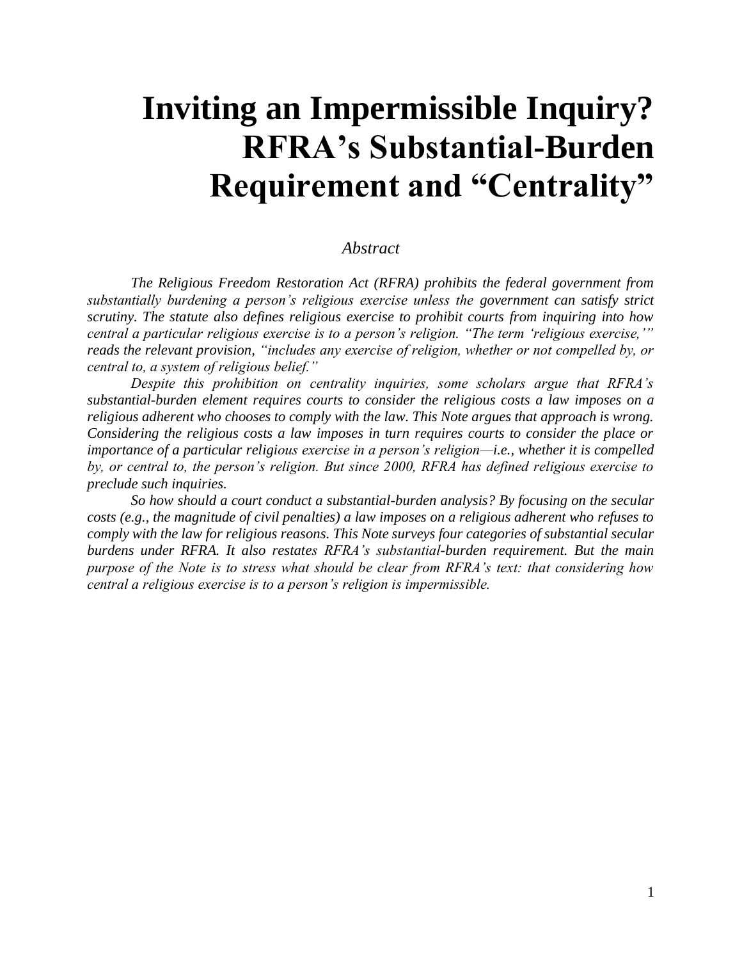# **Inviting an Impermissible Inquiry? RFRA's Substantial-Burden Requirement and "Centrality"**

# *Abstract*

*The Religious Freedom Restoration Act (RFRA) prohibits the federal government from substantially burdening a person's religious exercise unless the government can satisfy strict scrutiny. The statute also defines religious exercise to prohibit courts from inquiring into how central a particular religious exercise is to a person's religion. "The term 'religious exercise,'" reads the relevant provision, "includes any exercise of religion, whether or not compelled by, or central to, a system of religious belief."*

*Despite this prohibition on centrality inquiries, some scholars argue that RFRA's substantial-burden element requires courts to consider the religious costs a law imposes on a religious adherent who chooses to comply with the law. This Note argues that approach is wrong. Considering the religious costs a law imposes in turn requires courts to consider the place or importance of a particular religious exercise in a person's religion—i.e., whether it is compelled by, or central to, the person's religion. But since 2000, RFRA has defined religious exercise to preclude such inquiries.*

*So how should a court conduct a substantial-burden analysis? By focusing on the secular costs (e.g., the magnitude of civil penalties) a law imposes on a religious adherent who refuses to comply with the law for religious reasons. This Note surveys four categories of substantial secular burdens under RFRA. It also restates RFRA's substantial-burden requirement. But the main purpose of the Note is to stress what should be clear from RFRA's text: that considering how central a religious exercise is to a person's religion is impermissible.*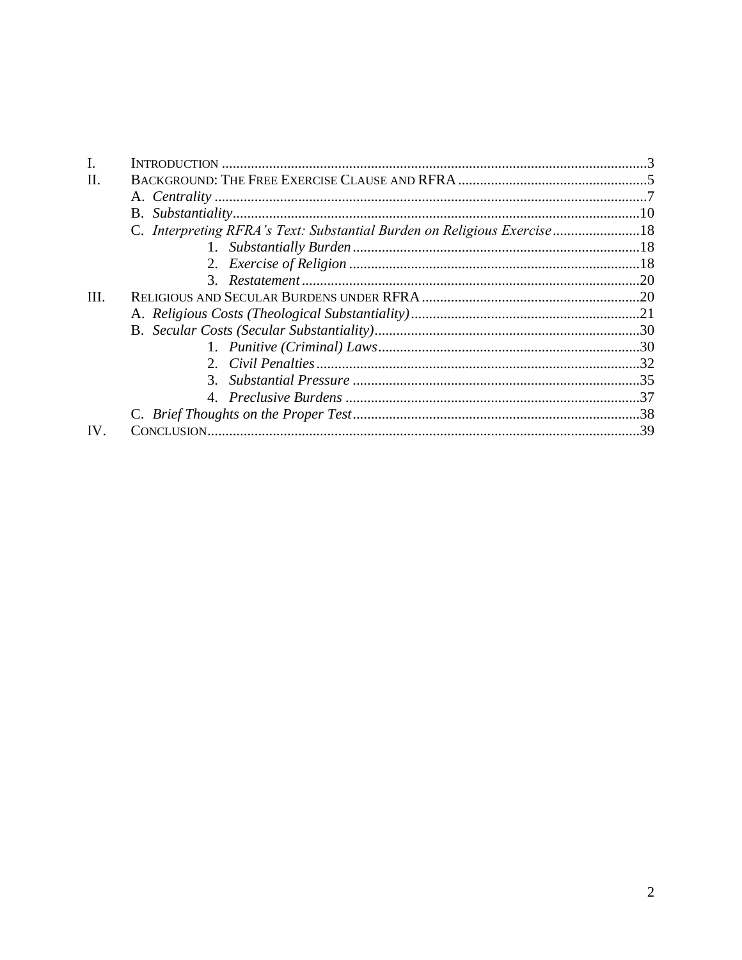| $\mathbf{I}$ . |                                                                       |  |
|----------------|-----------------------------------------------------------------------|--|
| Π.             |                                                                       |  |
|                |                                                                       |  |
|                |                                                                       |  |
|                | C. Interpreting RFRA's Text: Substantial Burden on Religious Exercise |  |
|                |                                                                       |  |
|                |                                                                       |  |
|                |                                                                       |  |
| III.           |                                                                       |  |
|                |                                                                       |  |
|                |                                                                       |  |
|                |                                                                       |  |
|                |                                                                       |  |
|                |                                                                       |  |
|                |                                                                       |  |
|                |                                                                       |  |
| IV.            |                                                                       |  |
|                |                                                                       |  |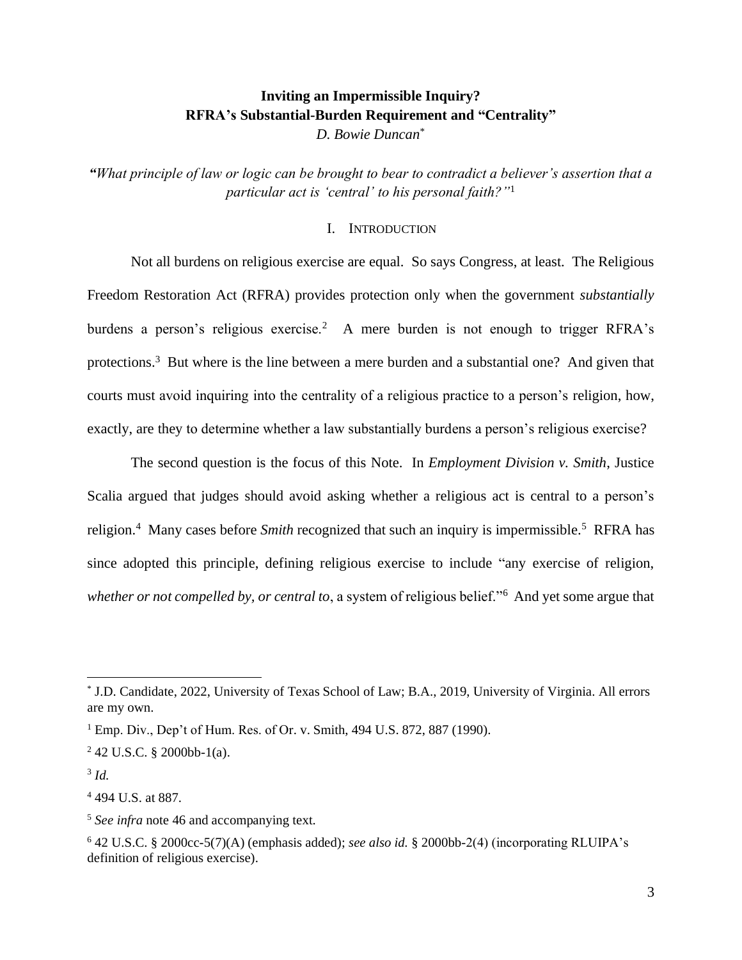# **Inviting an Impermissible Inquiry? RFRA's Substantial-Burden Requirement and "Centrality"** *D. Bowie Duncan*\*

*"What principle of law or logic can be brought to bear to contradict a believer's assertion that a particular act is 'central' to his personal faith?"*<sup>1</sup>

# I. INTRODUCTION

Not all burdens on religious exercise are equal. So says Congress, at least. The Religious Freedom Restoration Act (RFRA) provides protection only when the government *substantially* burdens a person's religious exercise.<sup>2</sup> A mere burden is not enough to trigger RFRA's protections.<sup>3</sup> But where is the line between a mere burden and a substantial one? And given that courts must avoid inquiring into the centrality of a religious practice to a person's religion, how, exactly, are they to determine whether a law substantially burdens a person's religious exercise?

The second question is the focus of this Note. In *Employment Division v. Smith*, Justice Scalia argued that judges should avoid asking whether a religious act is central to a person's religion.<sup>4</sup> Many cases before *Smith* recognized that such an inquiry is impermissible.<sup>5</sup> RFRA has since adopted this principle, defining religious exercise to include "any exercise of religion, *whether or not compelled by, or central to*, a system of religious belief."<sup>6</sup> And yet some argue that

3 *Id.*

<sup>4</sup> 494 U.S. at 887.

<sup>\*</sup> J.D. Candidate, 2022, University of Texas School of Law; B.A., 2019, University of Virginia. All errors are my own.

 $1$  Emp. Div., Dep't of Hum. Res. of Or. v. Smith, 494 U.S. 872, 887 (1990).

 $242$  U.S.C. § 2000bb-1(a).

<sup>5</sup> *See infra* note 46 and accompanying text.

<sup>6</sup> 42 U.S.C. § 2000cc-5(7)(A) (emphasis added); *see also id.* § 2000bb-2(4) (incorporating RLUIPA's definition of religious exercise).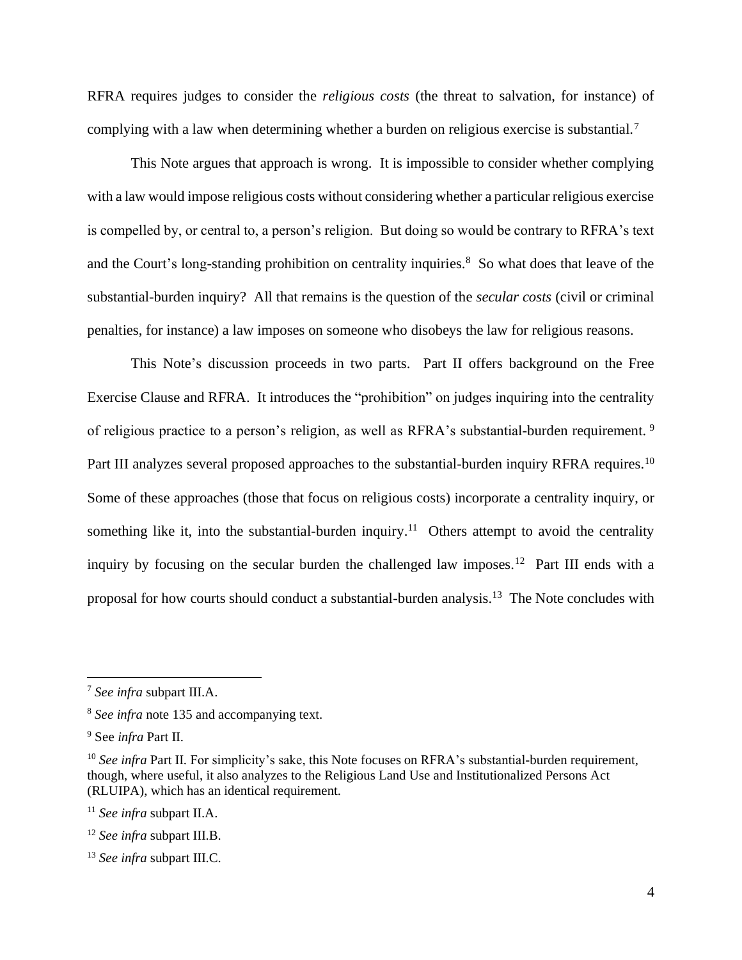RFRA requires judges to consider the *religious costs* (the threat to salvation, for instance) of complying with a law when determining whether a burden on religious exercise is substantial.<sup>7</sup>

This Note argues that approach is wrong. It is impossible to consider whether complying with a law would impose religious costs without considering whether a particular religious exercise is compelled by, or central to, a person's religion. But doing so would be contrary to RFRA's text and the Court's long-standing prohibition on centrality inquiries.<sup>8</sup> So what does that leave of the substantial-burden inquiry? All that remains is the question of the *secular costs* (civil or criminal penalties, for instance) a law imposes on someone who disobeys the law for religious reasons.

This Note's discussion proceeds in two parts. Part II offers background on the Free Exercise Clause and RFRA. It introduces the "prohibition" on judges inquiring into the centrality of religious practice to a person's religion, as well as RFRA's substantial-burden requirement. <sup>9</sup> Part III analyzes several proposed approaches to the substantial-burden inquiry RFRA requires.<sup>10</sup> Some of these approaches (those that focus on religious costs) incorporate a centrality inquiry, or something like it, into the substantial-burden inquiry.<sup>11</sup> Others attempt to avoid the centrality inquiry by focusing on the secular burden the challenged law imposes.<sup>12</sup> Part III ends with a proposal for how courts should conduct a substantial-burden analysis.<sup>13</sup> The Note concludes with

<sup>7</sup> *See infra* subpart III.A.

<sup>8</sup> *See infra* note 135 and accompanying text.

<sup>9</sup> See *infra* Part II.

<sup>&</sup>lt;sup>10</sup> See infra Part II. For simplicity's sake, this Note focuses on RFRA's substantial-burden requirement, though, where useful, it also analyzes to the Religious Land Use and Institutionalized Persons Act (RLUIPA), which has an identical requirement.

<sup>11</sup> *See infra* subpart II.A.

<sup>12</sup> *See infra* subpart III.B.

<sup>13</sup> *See infra* subpart III.C.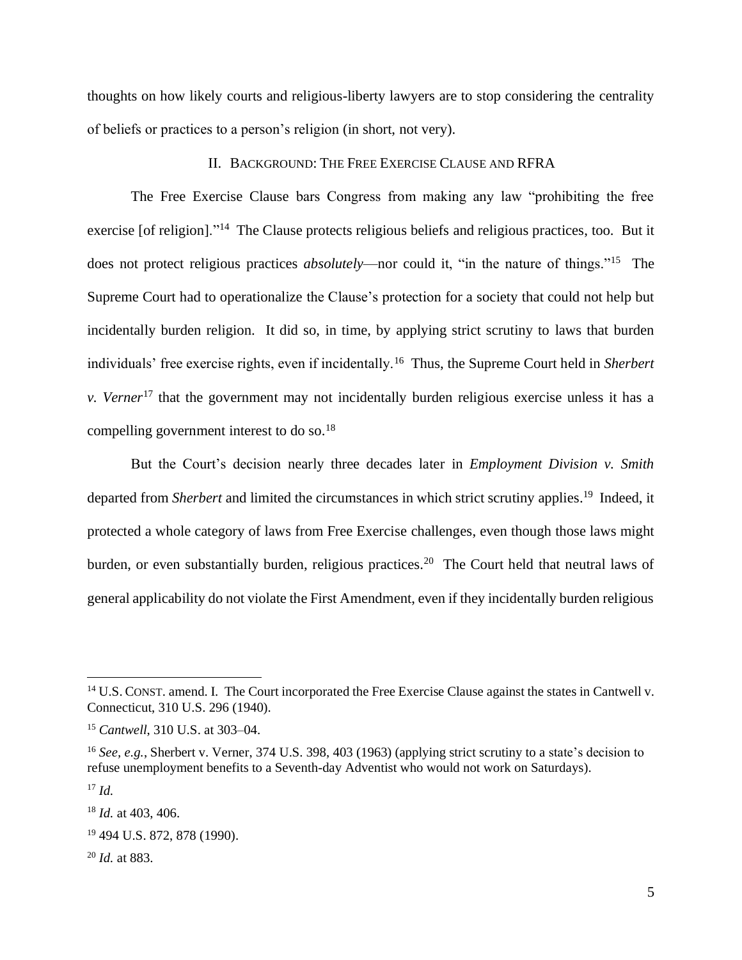thoughts on how likely courts and religious-liberty lawyers are to stop considering the centrality of beliefs or practices to a person's religion (in short, not very).

# II. BACKGROUND: THE FREE EXERCISE CLAUSE AND RFRA

The Free Exercise Clause bars Congress from making any law "prohibiting the free exercise [of religion]."<sup>14</sup> The Clause protects religious beliefs and religious practices, too. But it does not protect religious practices *absolutely*—nor could it, "in the nature of things."<sup>15</sup> The Supreme Court had to operationalize the Clause's protection for a society that could not help but incidentally burden religion. It did so, in time, by applying strict scrutiny to laws that burden individuals' free exercise rights, even if incidentally.<sup>16</sup> Thus, the Supreme Court held in *Sherbert v. Verner*<sup>17</sup> that the government may not incidentally burden religious exercise unless it has a compelling government interest to do so.<sup>18</sup>

But the Court's decision nearly three decades later in *Employment Division v. Smith*  departed from *Sherbert* and limited the circumstances in which strict scrutiny applies. <sup>19</sup> Indeed, it protected a whole category of laws from Free Exercise challenges, even though those laws might burden, or even substantially burden, religious practices.<sup>20</sup> The Court held that neutral laws of general applicability do not violate the First Amendment, even if they incidentally burden religious

<sup>17</sup> *Id.*

<sup>&</sup>lt;sup>14</sup> U.S. CONST. amend. I. The Court incorporated the Free Exercise Clause against the states in Cantwell v. Connecticut, 310 U.S. 296 (1940).

<sup>15</sup> *Cantwell*, 310 U.S. at 303–04.

<sup>16</sup> *See, e.g.*, Sherbert v. Verner, 374 U.S. 398, 403 (1963) (applying strict scrutiny to a state's decision to refuse unemployment benefits to a Seventh-day Adventist who would not work on Saturdays).

<sup>18</sup> *Id.* at 403, 406.

<sup>19</sup> 494 U.S. 872, 878 (1990).

<sup>20</sup> *Id.* at 883.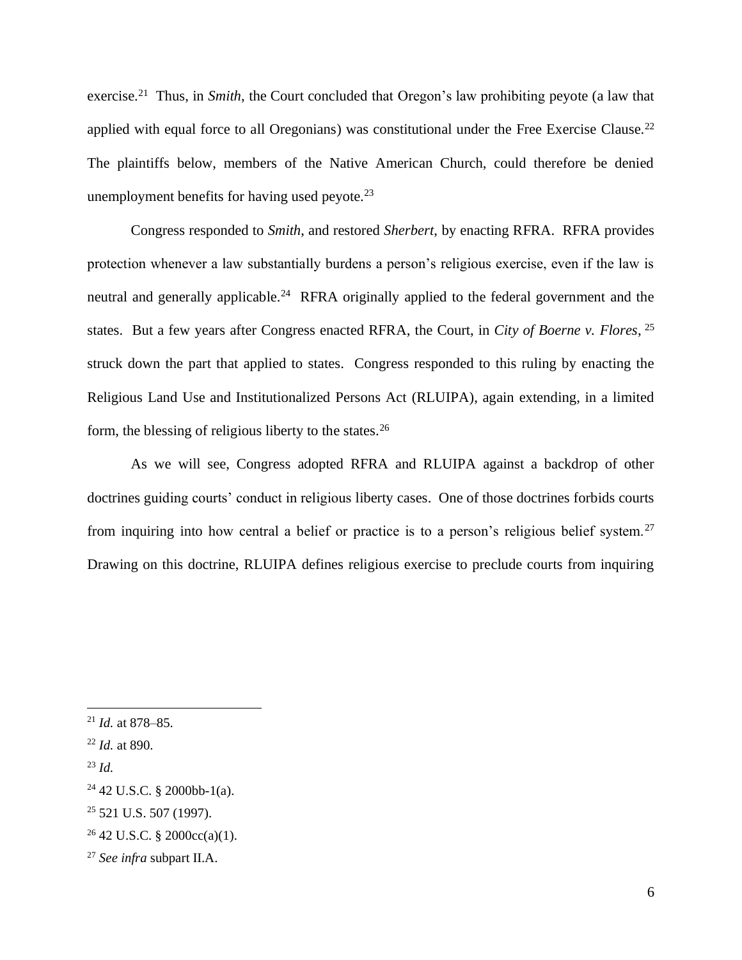exercise.<sup>21</sup> Thus, in *Smith*, the Court concluded that Oregon's law prohibiting peyote (a law that applied with equal force to all Oregonians) was constitutional under the Free Exercise Clause.<sup>22</sup> The plaintiffs below, members of the Native American Church, could therefore be denied unemployment benefits for having used peyote.<sup>23</sup>

Congress responded to *Smith*, and restored *Sherbert*, by enacting RFRA. RFRA provides protection whenever a law substantially burdens a person's religious exercise, even if the law is neutral and generally applicable.<sup>24</sup> RFRA originally applied to the federal government and the states. But a few years after Congress enacted RFRA, the Court, in *City of Boerne v. Flores*, 25 struck down the part that applied to states. Congress responded to this ruling by enacting the Religious Land Use and Institutionalized Persons Act (RLUIPA), again extending, in a limited form, the blessing of religious liberty to the states.<sup>26</sup>

As we will see, Congress adopted RFRA and RLUIPA against a backdrop of other doctrines guiding courts' conduct in religious liberty cases. One of those doctrines forbids courts from inquiring into how central a belief or practice is to a person's religious belief system.<sup>27</sup> Drawing on this doctrine, RLUIPA defines religious exercise to preclude courts from inquiring

<sup>21</sup> *Id.* at 878–85.

<sup>22</sup> *Id.* at 890.

<sup>23</sup> *Id.*

 $24$  42 U.S.C. § 2000bb-1(a).

 $25$  521 U.S. 507 (1997).

 $26$  42 U.S.C. § 2000cc(a)(1).

<sup>27</sup> *See infra* subpart II.A.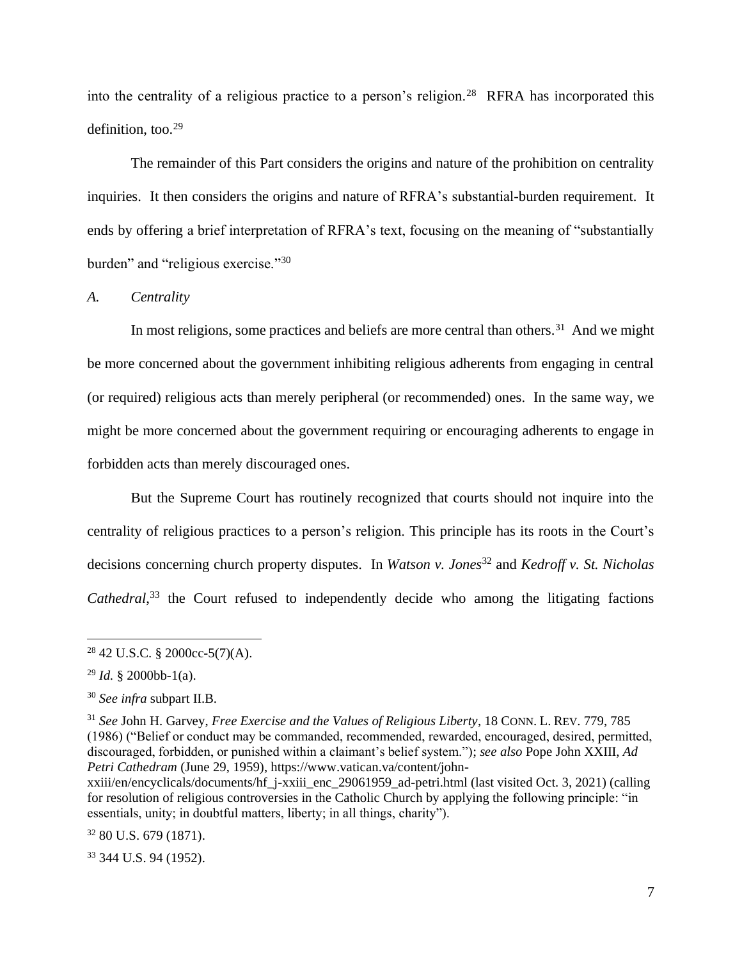into the centrality of a religious practice to a person's religion.<sup>28</sup> RFRA has incorporated this definition, too.<sup>29</sup>

The remainder of this Part considers the origins and nature of the prohibition on centrality inquiries. It then considers the origins and nature of RFRA's substantial-burden requirement. It ends by offering a brief interpretation of RFRA's text, focusing on the meaning of "substantially burden" and "religious exercise."<sup>30</sup>

# *A. Centrality*

In most religions, some practices and beliefs are more central than others.<sup>31</sup> And we might be more concerned about the government inhibiting religious adherents from engaging in central (or required) religious acts than merely peripheral (or recommended) ones. In the same way, we might be more concerned about the government requiring or encouraging adherents to engage in forbidden acts than merely discouraged ones.

But the Supreme Court has routinely recognized that courts should not inquire into the centrality of religious practices to a person's religion. This principle has its roots in the Court's decisions concerning church property disputes. In *Watson v. Jones*<sup>32</sup> and *Kedroff v. St. Nicholas*  Cathedral,<sup>33</sup> the Court refused to independently decide who among the litigating factions

<sup>33</sup> 344 U.S. 94 (1952).

<sup>28</sup> 42 U.S.C. § 2000cc-5(7)(A).

 $^{29}$  *Id.* § 2000bb-1(a).

<sup>30</sup> *See infra* subpart II.B.

<sup>31</sup> *See* John H. Garvey, *Free Exercise and the Values of Religious Liberty*, 18 CONN. L. REV. 779, 785 (1986) ("Belief or conduct may be commanded, recommended, rewarded, encouraged, desired, permitted, discouraged, forbidden, or punished within a claimant's belief system."); *see also* Pope John XXIII, *Ad Petri Cathedram* (June 29, 1959), https://www.vatican.va/content/john-

xxiii/en/encyclicals/documents/hf\_j-xxiii\_enc\_29061959\_ad-petri.html (last visited Oct. 3, 2021) (calling for resolution of religious controversies in the Catholic Church by applying the following principle: "in essentials, unity; in doubtful matters, liberty; in all things, charity").

 $32$  80 U.S. 679 (1871).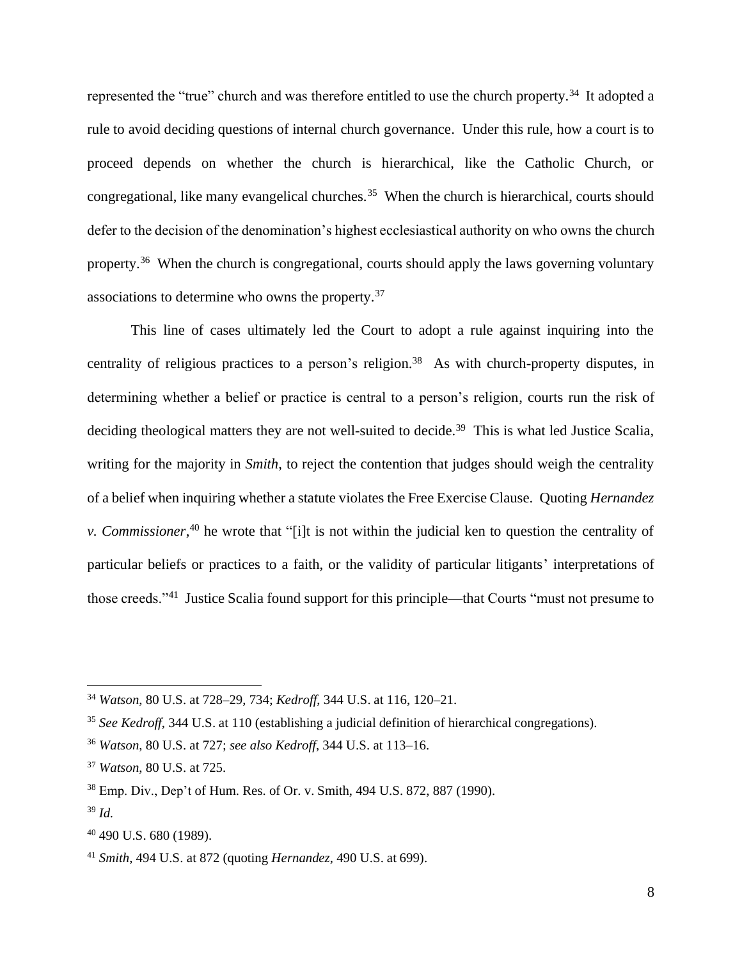represented the "true" church and was therefore entitled to use the church property.<sup>34</sup> It adopted a rule to avoid deciding questions of internal church governance. Under this rule, how a court is to proceed depends on whether the church is hierarchical, like the Catholic Church, or congregational, like many evangelical churches.<sup>35</sup> When the church is hierarchical, courts should defer to the decision of the denomination's highest ecclesiastical authority on who owns the church property.<sup>36</sup> When the church is congregational, courts should apply the laws governing voluntary associations to determine who owns the property.<sup>37</sup>

This line of cases ultimately led the Court to adopt a rule against inquiring into the centrality of religious practices to a person's religion.<sup>38</sup> As with church-property disputes, in determining whether a belief or practice is central to a person's religion, courts run the risk of deciding theological matters they are not well-suited to decide.<sup>39</sup> This is what led Justice Scalia, writing for the majority in *Smith*, to reject the contention that judges should weigh the centrality of a belief when inquiring whether a statute violates the Free Exercise Clause. Quoting *Hernandez v. Commissioner*, <sup>40</sup> he wrote that "[i]t is not within the judicial ken to question the centrality of particular beliefs or practices to a faith, or the validity of particular litigants' interpretations of those creeds."<sup>41</sup> Justice Scalia found support for this principle—that Courts "must not presume to

<sup>34</sup> *Watson*, 80 U.S. at 728–29, 734; *Kedroff*, 344 U.S. at 116, 120–21.

<sup>35</sup> *See Kedroff*, 344 U.S. at 110 (establishing a judicial definition of hierarchical congregations).

<sup>36</sup> *Watson*, 80 U.S. at 727; *see also Kedroff*, 344 U.S. at 113–16.

<sup>37</sup> *Watson*, 80 U.S. at 725.

<sup>38</sup> Emp. Div., Dep't of Hum. Res. of Or. v. Smith, 494 U.S. 872, 887 (1990).

<sup>39</sup> *Id.*

<sup>40</sup> 490 U.S. 680 (1989).

<sup>41</sup> *Smith*, 494 U.S. at 872 (quoting *Hernandez*, 490 U.S. at 699).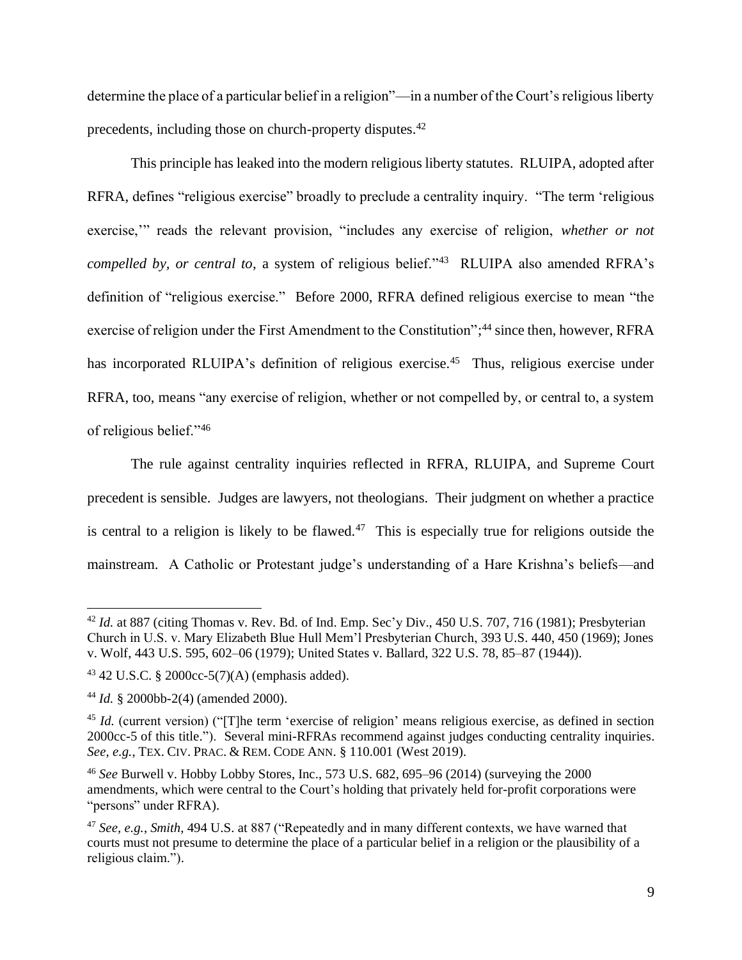determine the place of a particular belief in a religion"—in a number of the Court's religious liberty precedents, including those on church-property disputes.<sup>42</sup>

This principle has leaked into the modern religious liberty statutes. RLUIPA, adopted after RFRA, defines "religious exercise" broadly to preclude a centrality inquiry. "The term 'religious exercise," reads the relevant provision, "includes any exercise of religion, *whether or not compelled by, or central to*, a system of religious belief."<sup>43</sup> RLUIPA also amended RFRA's definition of "religious exercise." Before 2000, RFRA defined religious exercise to mean "the exercise of religion under the First Amendment to the Constitution";<sup>44</sup> since then, however, RFRA has incorporated RLUIPA's definition of religious exercise.<sup>45</sup> Thus, religious exercise under RFRA, too, means "any exercise of religion, whether or not compelled by, or central to, a system of religious belief."<sup>46</sup>

The rule against centrality inquiries reflected in RFRA, RLUIPA, and Supreme Court precedent is sensible. Judges are lawyers, not theologians. Their judgment on whether a practice is central to a religion is likely to be flawed. $47$  This is especially true for religions outside the mainstream. A Catholic or Protestant judge's understanding of a Hare Krishna's beliefs—and

<sup>&</sup>lt;sup>42</sup> *Id.* at 887 (citing Thomas v. Rev. Bd. of Ind. Emp. Sec'y Div., 450 U.S. 707, 716 (1981); Presbyterian Church in U.S. v. Mary Elizabeth Blue Hull Mem'l Presbyterian Church, 393 U.S. 440, 450 (1969); Jones v. Wolf, 443 U.S. 595, 602–06 (1979); United States v. Ballard, 322 U.S. 78, 85–87 (1944)).

<sup>43</sup> 42 U.S.C. § 2000cc-5(7)(A) (emphasis added).

<sup>44</sup> *Id.* § 2000bb-2(4) (amended 2000).

<sup>&</sup>lt;sup>45</sup> *Id.* (current version) ("The term 'exercise of religion' means religious exercise, as defined in section 2000cc-5 of this title."). Several mini-RFRAs recommend against judges conducting centrality inquiries. *See, e.g.*, TEX. CIV. PRAC. & REM. CODE ANN. § 110.001 (West 2019).

<sup>46</sup> *See* Burwell v. Hobby Lobby Stores, Inc., 573 U.S. 682, 695–96 (2014) (surveying the 2000 amendments, which were central to the Court's holding that privately held for-profit corporations were "persons" under RFRA).

<sup>47</sup> *See, e.g.*, *Smith*, 494 U.S. at 887 ("Repeatedly and in many different contexts, we have warned that courts must not presume to determine the place of a particular belief in a religion or the plausibility of a religious claim.").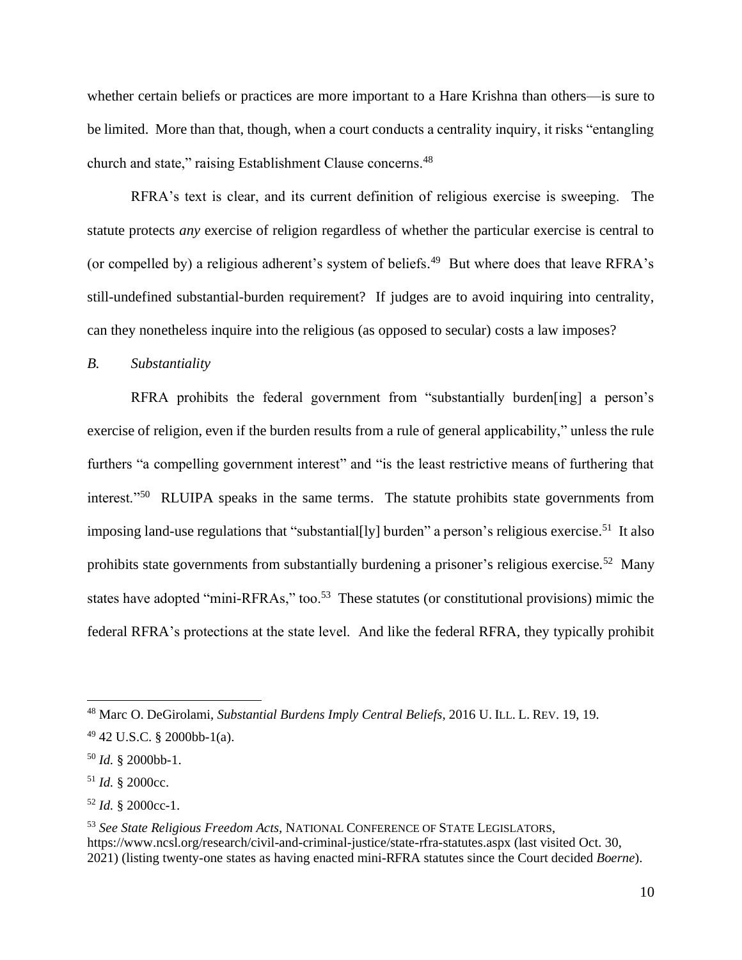whether certain beliefs or practices are more important to a Hare Krishna than others—is sure to be limited. More than that, though, when a court conducts a centrality inquiry, it risks "entangling church and state," raising Establishment Clause concerns.<sup>48</sup>

RFRA's text is clear, and its current definition of religious exercise is sweeping. The statute protects *any* exercise of religion regardless of whether the particular exercise is central to (or compelled by) a religious adherent's system of beliefs. <sup>49</sup> But where does that leave RFRA's still-undefined substantial-burden requirement? If judges are to avoid inquiring into centrality, can they nonetheless inquire into the religious (as opposed to secular) costs a law imposes?

*B. Substantiality*

RFRA prohibits the federal government from "substantially burden[ing] a person's exercise of religion, even if the burden results from a rule of general applicability," unless the rule furthers "a compelling government interest" and "is the least restrictive means of furthering that interest."<sup>50</sup> RLUIPA speaks in the same terms. The statute prohibits state governments from imposing land-use regulations that "substantial[ly] burden" a person's religious exercise.<sup>51</sup> It also prohibits state governments from substantially burdening a prisoner's religious exercise.<sup>52</sup> Many states have adopted "mini-RFRAs," too.<sup>53</sup> These statutes (or constitutional provisions) mimic the federal RFRA's protections at the state level. And like the federal RFRA, they typically prohibit

<sup>53</sup> *See State Religious Freedom Acts,* NATIONAL CONFERENCE OF STATE LEGISLATORS, https://www.ncsl.org/research/civil-and-criminal-justice/state-rfra-statutes.aspx (last visited Oct. 30, 2021) (listing twenty-one states as having enacted mini-RFRA statutes since the Court decided *Boerne*).

<sup>48</sup> Marc O. DeGirolami, *Substantial Burdens Imply Central Beliefs*, 2016 U. ILL. L. REV. 19, 19.

<sup>49</sup> 42 U.S.C. § 2000bb-1(a).

<sup>50</sup> *Id.* § 2000bb-1.

<sup>51</sup> *Id.* § 2000cc.

<sup>52</sup> *Id.* § 2000cc-1.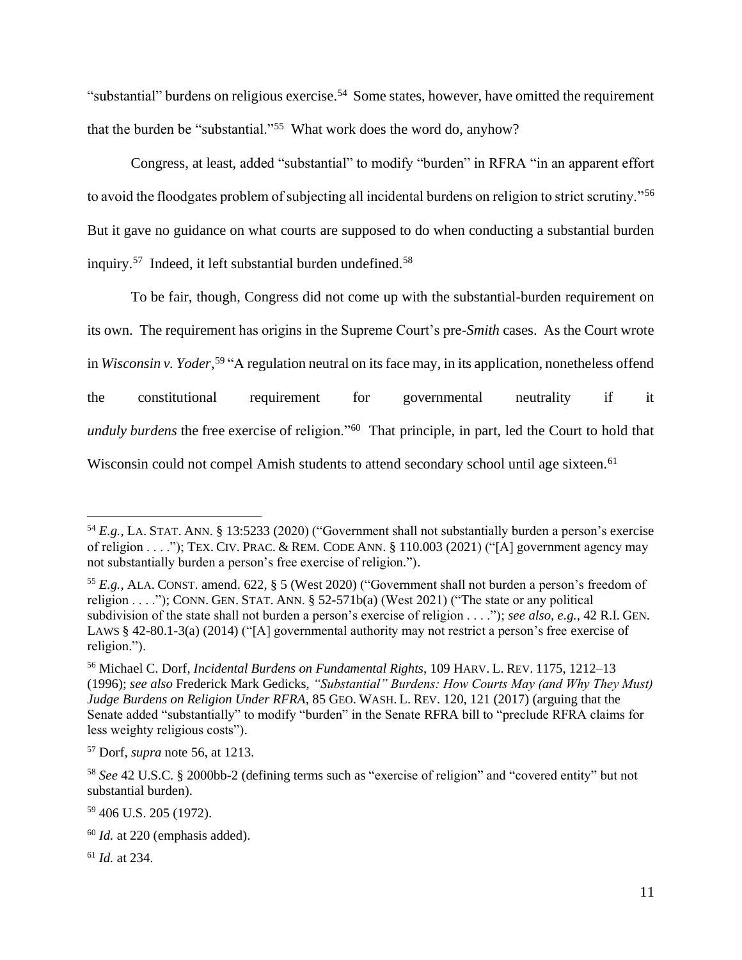"substantial" burdens on religious exercise.<sup>54</sup> Some states, however, have omitted the requirement that the burden be "substantial."<sup>55</sup> What work does the word do, anyhow?

Congress, at least, added "substantial" to modify "burden" in RFRA "in an apparent effort to avoid the floodgates problem of subjecting all incidental burdens on religion to strict scrutiny."<sup>56</sup> But it gave no guidance on what courts are supposed to do when conducting a substantial burden inquiry.<sup>57</sup> Indeed, it left substantial burden undefined.<sup>58</sup>

To be fair, though, Congress did not come up with the substantial-burden requirement on its own. The requirement has origins in the Supreme Court's pre-*Smith* cases. As the Court wrote in *Wisconsin v. Yoder*, <sup>59</sup> "A regulation neutral on its face may, in its application, nonetheless offend the constitutional requirement for governmental neutrality if it *unduly burdens* the free exercise of religion."<sup>60</sup> That principle, in part, led the Court to hold that Wisconsin could not compel Amish students to attend secondary school until age sixteen.<sup>61</sup>

<sup>61</sup> *Id.* at 234.

<sup>54</sup> *E.g.*, LA. STAT. ANN. § 13:5233 (2020) ("Government shall not substantially burden a person's exercise of religion . . . ."); TEX. CIV. PRAC. & REM. CODE ANN. § 110.003 (2021) ("[A] government agency may not substantially burden a person's free exercise of religion.").

<sup>55</sup> *E.g.*, ALA. CONST. amend. 622, § 5 (West 2020) ("Government shall not burden a person's freedom of religion . . . ."); CONN. GEN. STAT. ANN. § 52-571b(a) (West 2021) ("The state or any political subdivision of the state shall not burden a person's exercise of religion . . . ."); *see also, e.g.*, 42 R.I. GEN. LAWS § 42-80.1-3(a) (2014) ("[A] governmental authority may not restrict a person's free exercise of religion.").

<sup>56</sup> Michael C. Dorf, *Incidental Burdens on Fundamental Rights*, 109 HARV. L. REV. 1175, 1212–13 (1996); *see also* Frederick Mark Gedicks, *"Substantial" Burdens: How Courts May (and Why They Must) Judge Burdens on Religion Under RFRA*, 85 GEO. WASH. L. REV. 120, 121 (2017) (arguing that the Senate added "substantially" to modify "burden" in the Senate RFRA bill to "preclude RFRA claims for less weighty religious costs").

<sup>57</sup> Dorf, *supra* note 56, at 1213.

<sup>58</sup> *See* 42 U.S.C. § 2000bb-2 (defining terms such as "exercise of religion" and "covered entity" but not substantial burden).

<sup>59</sup> 406 U.S. 205 (1972).

<sup>60</sup> *Id.* at 220 (emphasis added).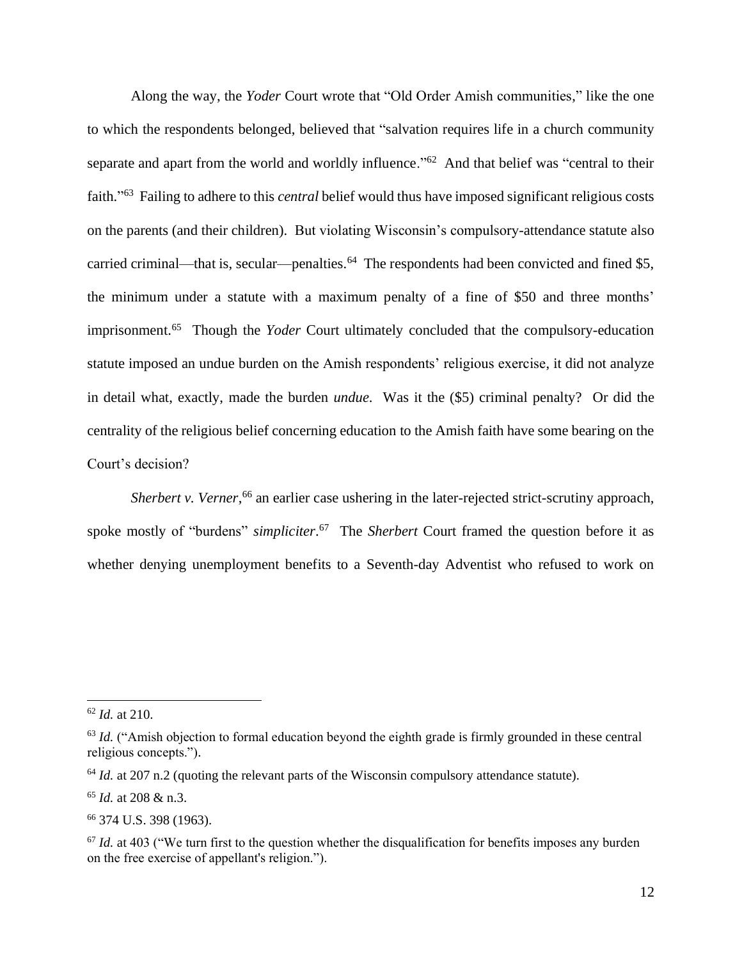Along the way, the *Yoder* Court wrote that "Old Order Amish communities," like the one to which the respondents belonged, believed that "salvation requires life in a church community separate and apart from the world and worldly influence."<sup>62</sup> And that belief was "central to their faith." <sup>63</sup> Failing to adhere to this *central* belief would thus have imposed significant religious costs on the parents (and their children). But violating Wisconsin's compulsory-attendance statute also carried criminal—that is, secular—penalties.<sup>64</sup> The respondents had been convicted and fined \$5, the minimum under a statute with a maximum penalty of a fine of \$50 and three months' imprisonment.<sup>65</sup> Though the *Yoder* Court ultimately concluded that the compulsory-education statute imposed an undue burden on the Amish respondents' religious exercise, it did not analyze in detail what, exactly, made the burden *undue*. Was it the (\$5) criminal penalty? Or did the centrality of the religious belief concerning education to the Amish faith have some bearing on the Court's decision?

Sherbert v. Verner,<sup>66</sup> an earlier case ushering in the later-rejected strict-scrutiny approach, spoke mostly of "burdens" *simpliciter*. <sup>67</sup> The *Sherbert* Court framed the question before it as whether denying unemployment benefits to a Seventh-day Adventist who refused to work on

<sup>62</sup> *Id.* at 210.

<sup>&</sup>lt;sup>63</sup> *Id.* ("Amish objection to formal education beyond the eighth grade is firmly grounded in these central religious concepts.").

<sup>&</sup>lt;sup>64</sup> *Id.* at 207 n.2 (quoting the relevant parts of the Wisconsin compulsory attendance statute).

<sup>65</sup> *Id.* at 208 & n.3.

<sup>66</sup> 374 U.S. 398 (1963).

<sup>&</sup>lt;sup>67</sup> *Id.* at 403 ("We turn first to the question whether the disqualification for benefits imposes any burden on the free exercise of appellant's religion.").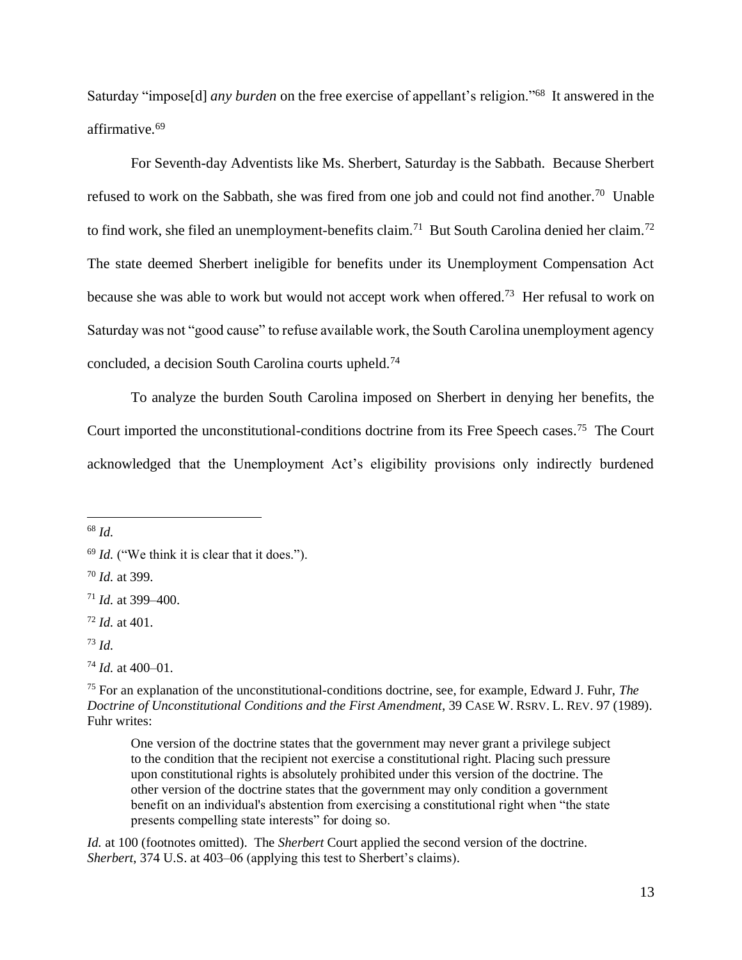Saturday "impose[d] *any burden* on the free exercise of appellant's religion."<sup>68</sup> It answered in the affirmative.<sup>69</sup>

For Seventh-day Adventists like Ms. Sherbert, Saturday is the Sabbath. Because Sherbert refused to work on the Sabbath, she was fired from one job and could not find another.<sup>70</sup> Unable to find work, she filed an unemployment-benefits claim.<sup>71</sup> But South Carolina denied her claim.<sup>72</sup> The state deemed Sherbert ineligible for benefits under its Unemployment Compensation Act because she was able to work but would not accept work when offered.<sup>73</sup> Her refusal to work on Saturday was not "good cause" to refuse available work, the South Carolina unemployment agency concluded, a decision South Carolina courts upheld. 74

To analyze the burden South Carolina imposed on Sherbert in denying her benefits, the Court imported the unconstitutional-conditions doctrine from its Free Speech cases. <sup>75</sup> The Court acknowledged that the Unemployment Act's eligibility provisions only indirectly burdened

<sup>68</sup> *Id.* 

<sup>70</sup> *Id.* at 399.

 $^{73}$  *Id.* 

*Id.* at 100 (footnotes omitted). The *Sherbert* Court applied the second version of the doctrine. *Sherbert*, 374 U.S. at 403–06 (applying this test to Sherbert's claims).

<sup>69</sup> *Id.* ("We think it is clear that it does.").

<sup>71</sup> *Id.* at 399–400.

<sup>72</sup> *Id.* at 401.

<sup>74</sup> *Id.* at 400–01.

<sup>75</sup> For an explanation of the unconstitutional-conditions doctrine, see, for example, Edward J. Fuhr, *The Doctrine of Unconstitutional Conditions and the First Amendment*, 39 CASE W. RSRV. L. REV. 97 (1989). Fuhr writes:

One version of the doctrine states that the government may never grant a privilege subject to the condition that the recipient not exercise a constitutional right. Placing such pressure upon constitutional rights is absolutely prohibited under this version of the doctrine. The other version of the doctrine states that the government may only condition a government benefit on an individual's abstention from exercising a constitutional right when "the state presents compelling state interests" for doing so.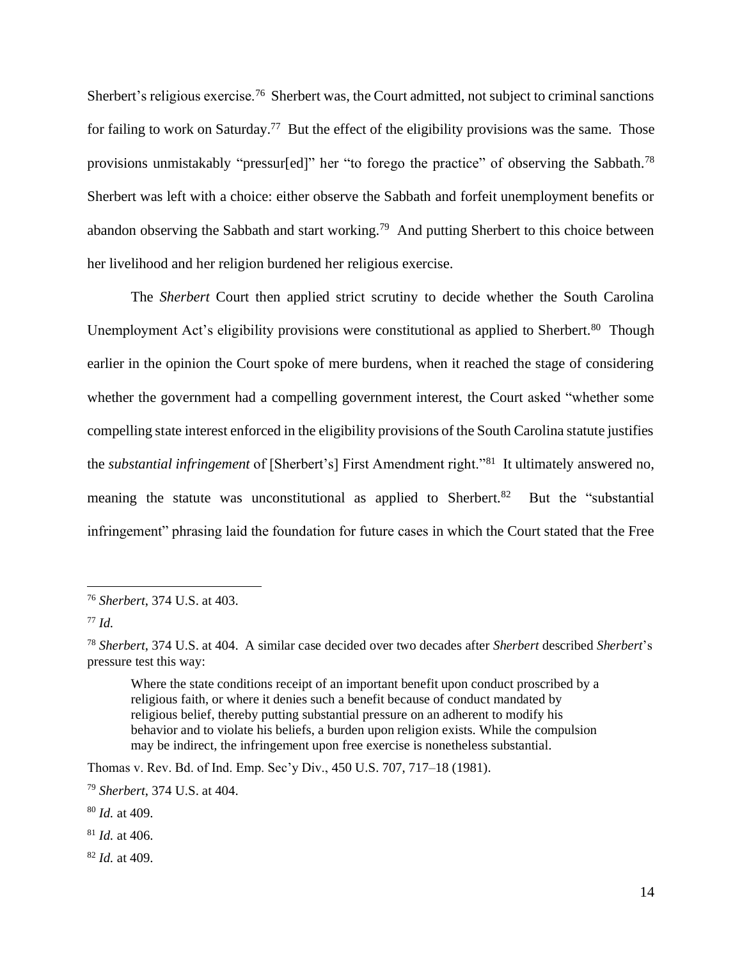Sherbert's religious exercise.<sup>76</sup> Sherbert was, the Court admitted, not subject to criminal sanctions for failing to work on Saturday.<sup>77</sup> But the effect of the eligibility provisions was the same. Those provisions unmistakably "pressur[ed]" her "to forego the practice" of observing the Sabbath.<sup>78</sup> Sherbert was left with a choice: either observe the Sabbath and forfeit unemployment benefits or abandon observing the Sabbath and start working.<sup>79</sup> And putting Sherbert to this choice between her livelihood and her religion burdened her religious exercise.

The *Sherbert* Court then applied strict scrutiny to decide whether the South Carolina Unemployment Act's eligibility provisions were constitutional as applied to Sherbert.<sup>80</sup> Though earlier in the opinion the Court spoke of mere burdens, when it reached the stage of considering whether the government had a compelling government interest, the Court asked "whether some compelling state interest enforced in the eligibility provisions of the South Carolina statute justifies the *substantial infringement* of [Sherbert's] First Amendment right."<sup>81</sup> It ultimately answered no, meaning the statute was unconstitutional as applied to Sherbert.<sup>82</sup> But the "substantial" infringement" phrasing laid the foundation for future cases in which the Court stated that the Free

Where the state conditions receipt of an important benefit upon conduct proscribed by a religious faith, or where it denies such a benefit because of conduct mandated by religious belief, thereby putting substantial pressure on an adherent to modify his behavior and to violate his beliefs, a burden upon religion exists. While the compulsion may be indirect, the infringement upon free exercise is nonetheless substantial.

Thomas v. Rev. Bd. of Ind. Emp. Sec'y Div., 450 U.S. 707, 717–18 (1981).

<sup>82</sup> *Id.* at 409.

<sup>76</sup> *Sherbert*, 374 U.S. at 403.

<sup>77</sup> *Id.*

<sup>78</sup> *Sherbert*, 374 U.S. at 404. A similar case decided over two decades after *Sherbert* described *Sherbert*'s pressure test this way:

<sup>79</sup> *Sherbert*, 374 U.S. at 404.

<sup>80</sup> *Id.* at 409.

<sup>81</sup> *Id.* at 406.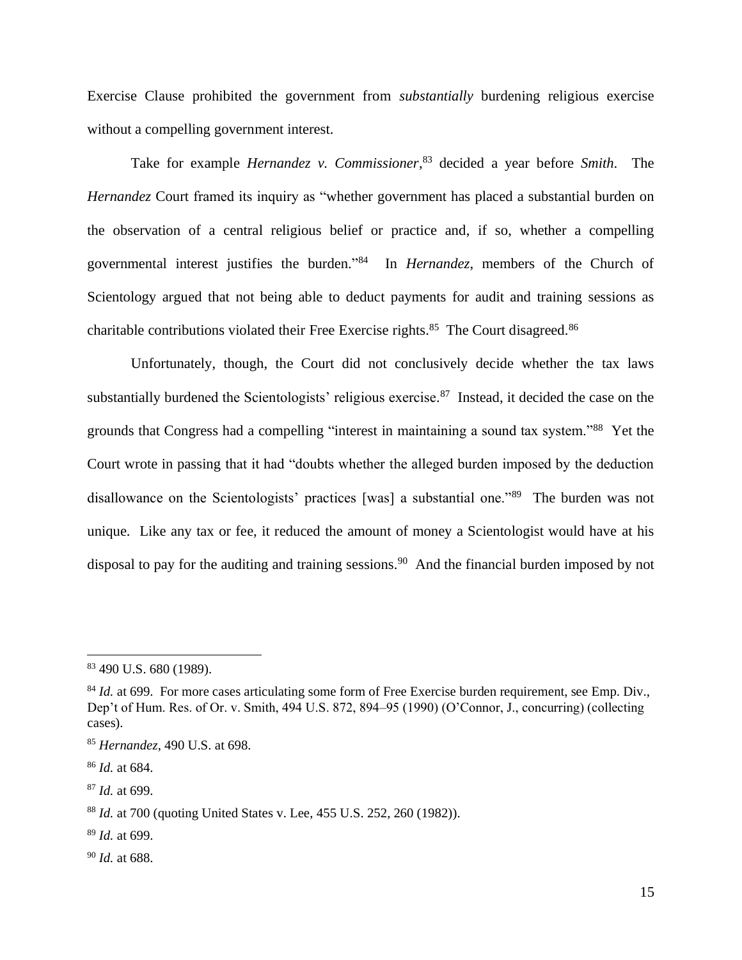Exercise Clause prohibited the government from *substantially* burdening religious exercise without a compelling government interest.

Take for example *Hernandez v. Commissioner*, <sup>83</sup> decided a year before *Smith*. The *Hernandez* Court framed its inquiry as "whether government has placed a substantial burden on the observation of a central religious belief or practice and, if so, whether a compelling governmental interest justifies the burden." <sup>84</sup> In *Hernandez*, members of the Church of Scientology argued that not being able to deduct payments for audit and training sessions as charitable contributions violated their Free Exercise rights. $85$  The Court disagreed. $86$ 

Unfortunately, though, the Court did not conclusively decide whether the tax laws substantially burdened the Scientologists' religious exercise.<sup>87</sup> Instead, it decided the case on the grounds that Congress had a compelling "interest in maintaining a sound tax system."<sup>88</sup> Yet the Court wrote in passing that it had "doubts whether the alleged burden imposed by the deduction disallowance on the Scientologists' practices [was] a substantial one."<sup>89</sup> The burden was not unique. Like any tax or fee, it reduced the amount of money a Scientologist would have at his disposal to pay for the auditing and training sessions.<sup>90</sup> And the financial burden imposed by not

<sup>89</sup> *Id.* at 699.

<sup>83</sup> 490 U.S. 680 (1989).

<sup>&</sup>lt;sup>84</sup> *Id.* at 699. For more cases articulating some form of Free Exercise burden requirement, see Emp. Div., Dep't of Hum. Res. of Or. v. Smith, 494 U.S. 872, 894–95 (1990) (O'Connor, J., concurring) (collecting cases).

<sup>85</sup> *Hernandez*, 490 U.S. at 698.

<sup>86</sup> *Id.* at 684.

<sup>87</sup> *Id.* at 699.

<sup>88</sup> *Id.* at 700 (quoting United States v. Lee, 455 U.S. 252, 260 (1982)).

<sup>90</sup> *Id.* at 688.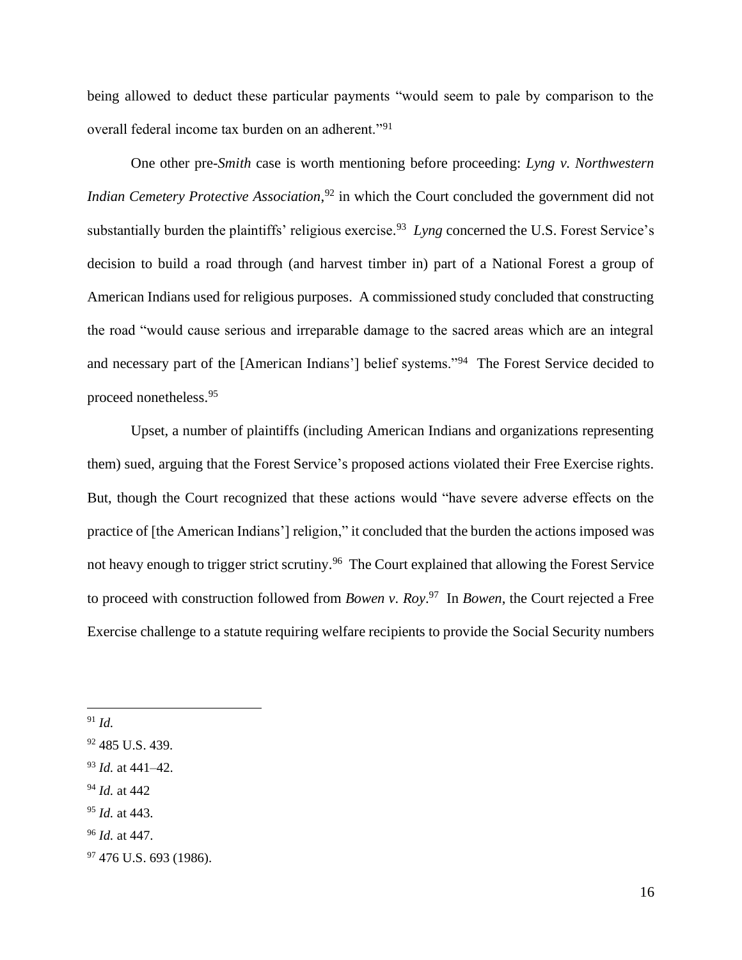being allowed to deduct these particular payments "would seem to pale by comparison to the overall federal income tax burden on an adherent."<sup>91</sup>

One other pre-*Smith* case is worth mentioning before proceeding: *Lyng v. Northwestern Indian Cemetery Protective Association*, <sup>92</sup> in which the Court concluded the government did not substantially burden the plaintiffs' religious exercise. <sup>93</sup> *Lyng* concerned the U.S. Forest Service's decision to build a road through (and harvest timber in) part of a National Forest a group of American Indians used for religious purposes. A commissioned study concluded that constructing the road "would cause serious and irreparable damage to the sacred areas which are an integral and necessary part of the [American Indians'] belief systems."<sup>94</sup> The Forest Service decided to proceed nonetheless.<sup>95</sup>

Upset, a number of plaintiffs (including American Indians and organizations representing them) sued, arguing that the Forest Service's proposed actions violated their Free Exercise rights. But, though the Court recognized that these actions would "have severe adverse effects on the practice of [the American Indians'] religion," it concluded that the burden the actions imposed was not heavy enough to trigger strict scrutiny.<sup>96</sup> The Court explained that allowing the Forest Service to proceed with construction followed from *Bowen v. Roy*. <sup>97</sup> In *Bowen*, the Court rejected a Free Exercise challenge to a statute requiring welfare recipients to provide the Social Security numbers

<sup>94</sup> *Id.* at 442

<sup>91</sup> *Id.*

<sup>92</sup> 485 U.S. 439.

<sup>93</sup> *Id.* at 441–42.

<sup>95</sup> *Id.* at 443.

<sup>96</sup> *Id.* at 447.

 $97$  476 U.S. 693 (1986).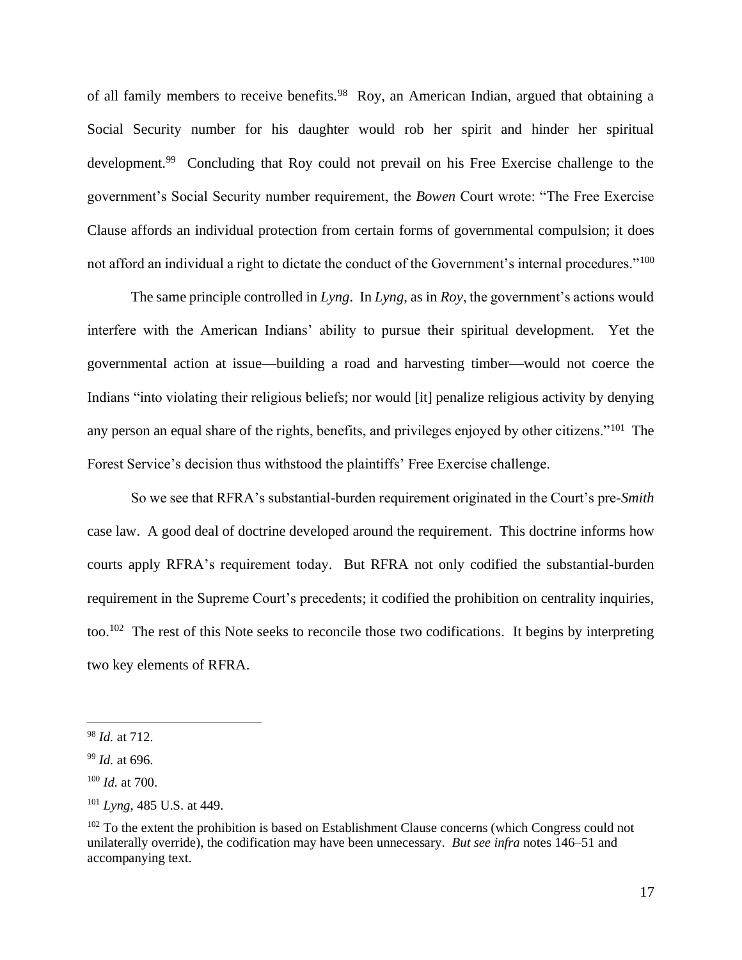of all family members to receive benefits.<sup>98</sup> Roy, an American Indian, argued that obtaining a Social Security number for his daughter would rob her spirit and hinder her spiritual development.<sup>99</sup> Concluding that Roy could not prevail on his Free Exercise challenge to the government's Social Security number requirement, the *Bowen* Court wrote: "The Free Exercise Clause affords an individual protection from certain forms of governmental compulsion; it does not afford an individual a right to dictate the conduct of the Government's internal procedures."<sup>100</sup>

The same principle controlled in *Lyng*. In *Lyng*, as in *Roy*, the government's actions would interfere with the American Indians' ability to pursue their spiritual development. Yet the governmental action at issue—building a road and harvesting timber—would not coerce the Indians "into violating their religious beliefs; nor would [it] penalize religious activity by denying any person an equal share of the rights, benefits, and privileges enjoyed by other citizens."<sup>101</sup> The Forest Service's decision thus withstood the plaintiffs' Free Exercise challenge.

So we see that RFRA's substantial-burden requirement originated in the Court's pre-*Smith* case law. A good deal of doctrine developed around the requirement. This doctrine informs how courts apply RFRA's requirement today. But RFRA not only codified the substantial-burden requirement in the Supreme Court's precedents; it codified the prohibition on centrality inquiries, too.<sup>102</sup> The rest of this Note seeks to reconcile those two codifications. It begins by interpreting two key elements of RFRA.

<sup>98</sup> *Id.* at 712.

<sup>99</sup> *Id.* at 696.

<sup>100</sup> *Id.* at 700.

<sup>101</sup> *Lyng*, 485 U.S. at 449.

 $102$  To the extent the prohibition is based on Establishment Clause concerns (which Congress could not unilaterally override), the codification may have been unnecessary. *But see infra* notes 146–51 and accompanying text.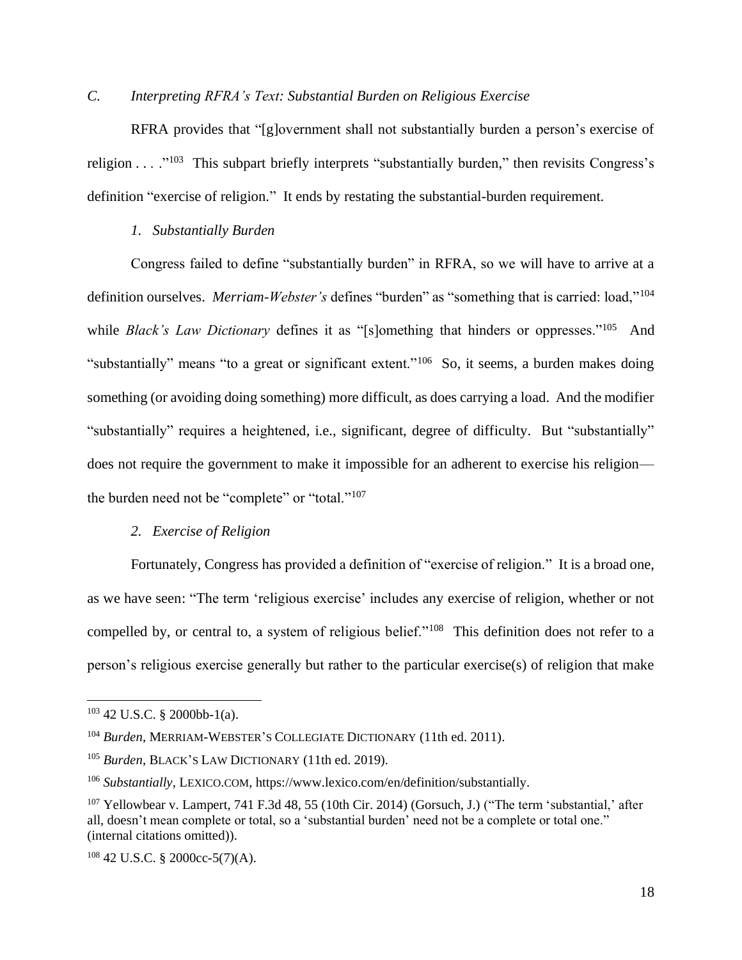# *C. Interpreting RFRA's Text: Substantial Burden on Religious Exercise*

RFRA provides that "[g]overnment shall not substantially burden a person's exercise of religion  $\dots$  ."<sup>103</sup> This subpart briefly interprets "substantially burden," then revisits Congress's definition "exercise of religion." It ends by restating the substantial-burden requirement.

# *1. Substantially Burden*

Congress failed to define "substantially burden" in RFRA, so we will have to arrive at a definition ourselves. *Merriam-Webster's* defines "burden" as "something that is carried: load,"<sup>104</sup> while *Black's Law Dictionary* defines it as "[s]omething that hinders or oppresses."<sup>105</sup> And "substantially" means "to a great or significant extent."<sup>106</sup> So, it seems, a burden makes doing something (or avoiding doing something) more difficult, as does carrying a load. And the modifier "substantially" requires a heightened, i.e., significant, degree of difficulty. But "substantially" does not require the government to make it impossible for an adherent to exercise his religion the burden need not be "complete" or "total."<sup>107</sup>

# *2. Exercise of Religion*

Fortunately, Congress has provided a definition of "exercise of religion." It is a broad one, as we have seen: "The term 'religious exercise' includes any exercise of religion, whether or not compelled by, or central to, a system of religious belief."<sup>108</sup> This definition does not refer to a person's religious exercise generally but rather to the particular exercise(s) of religion that make

<sup>103</sup> 42 U.S.C. § 2000bb-1(a).

<sup>104</sup> *Burden*, MERRIAM-WEBSTER'S COLLEGIATE DICTIONARY (11th ed. 2011).

<sup>&</sup>lt;sup>105</sup> *Burden*, BLACK'S LAW DICTIONARY (11th ed. 2019).

<sup>106</sup> *Substantially*, LEXICO.COM, https://www.lexico.com/en/definition/substantially.

<sup>&</sup>lt;sup>107</sup> Yellowbear v. Lampert, 741 F.3d 48, 55 (10th Cir. 2014) (Gorsuch, J.) ("The term 'substantial,' after all, doesn't mean complete or total, so a 'substantial burden' need not be a complete or total one." (internal citations omitted)).

 $108$  42 U.S.C. § 2000cc-5(7)(A).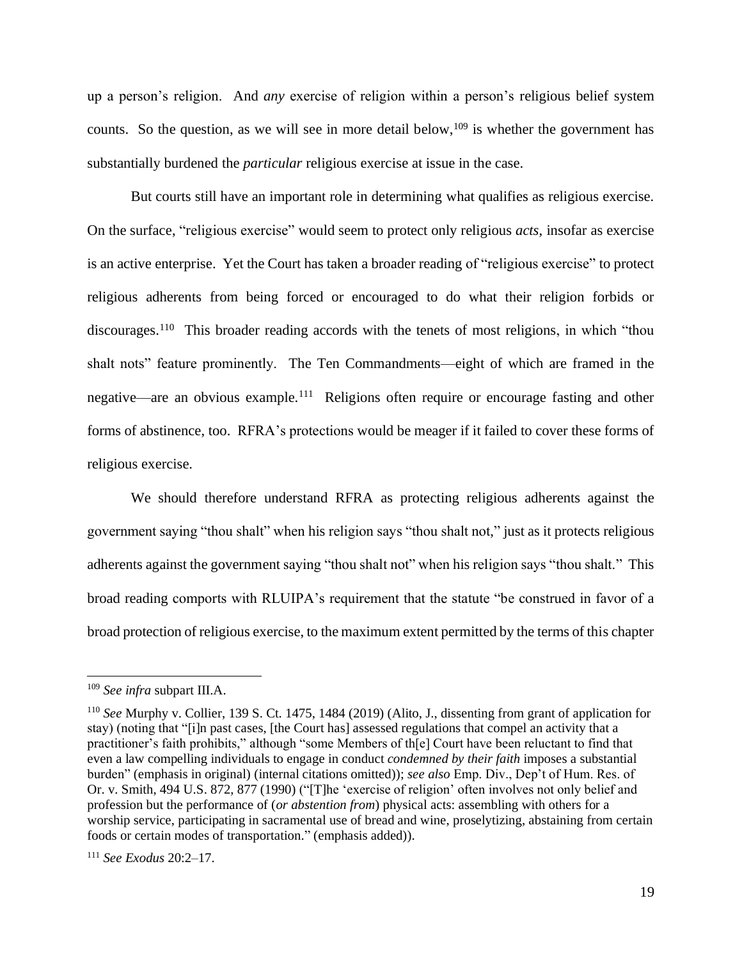up a person's religion. And *any* exercise of religion within a person's religious belief system counts. So the question, as we will see in more detail below,  $109$  is whether the government has substantially burdened the *particular* religious exercise at issue in the case.

But courts still have an important role in determining what qualifies as religious exercise. On the surface, "religious exercise" would seem to protect only religious *acts*, insofar as exercise is an active enterprise. Yet the Court has taken a broader reading of "religious exercise" to protect religious adherents from being forced or encouraged to do what their religion forbids or discourages.<sup>110</sup> This broader reading accords with the tenets of most religions, in which "thou shalt nots" feature prominently. The Ten Commandments—eight of which are framed in the negative—are an obvious example.<sup>111</sup> Religions often require or encourage fasting and other forms of abstinence, too. RFRA's protections would be meager if it failed to cover these forms of religious exercise.

We should therefore understand RFRA as protecting religious adherents against the government saying "thou shalt" when his religion says "thou shalt not," just as it protects religious adherents against the government saying "thou shalt not" when his religion says "thou shalt." This broad reading comports with RLUIPA's requirement that the statute "be construed in favor of a broad protection of religious exercise, to the maximum extent permitted by the terms of this chapter

<sup>109</sup> *See infra* subpart III.A.

<sup>110</sup> *See* Murphy v. Collier, 139 S. Ct. 1475, 1484 (2019) (Alito, J., dissenting from grant of application for stay) (noting that "[i]n past cases, [the Court has] assessed regulations that compel an activity that a practitioner's faith prohibits," although "some Members of th[e] Court have been reluctant to find that even a law compelling individuals to engage in conduct *condemned by their faith* imposes a substantial burden" (emphasis in original) (internal citations omitted)); *see also* Emp. Div., Dep't of Hum. Res. of Or. v. Smith, 494 U.S. 872, 877 (1990) ("[T]he 'exercise of religion' often involves not only belief and profession but the performance of (*or abstention from*) physical acts: assembling with others for a worship service, participating in sacramental use of bread and wine, proselytizing, abstaining from certain foods or certain modes of transportation." (emphasis added)).

<sup>111</sup> *See Exodus* 20:2–17.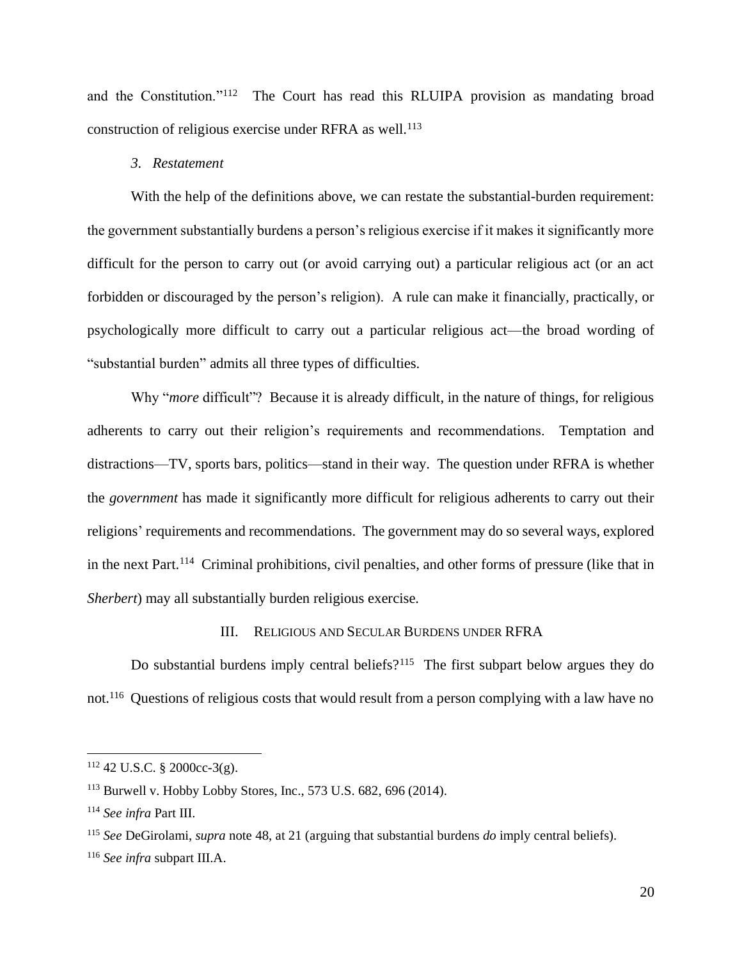and the Constitution."<sup>112</sup> The Court has read this RLUIPA provision as mandating broad construction of religious exercise under RFRA as well.<sup>113</sup>

# *3. Restatement*

With the help of the definitions above, we can restate the substantial-burden requirement: the government substantially burdens a person's religious exercise if it makes it significantly more difficult for the person to carry out (or avoid carrying out) a particular religious act (or an act forbidden or discouraged by the person's religion). A rule can make it financially, practically, or psychologically more difficult to carry out a particular religious act—the broad wording of "substantial burden" admits all three types of difficulties.

Why "*more* difficult"? Because it is already difficult, in the nature of things, for religious adherents to carry out their religion's requirements and recommendations. Temptation and distractions—TV, sports bars, politics—stand in their way. The question under RFRA is whether the *government* has made it significantly more difficult for religious adherents to carry out their religions' requirements and recommendations. The government may do so several ways, explored in the next Part.<sup>114</sup> Criminal prohibitions, civil penalties, and other forms of pressure (like that in *Sherbert*) may all substantially burden religious exercise.

### III. RELIGIOUS AND SECULAR BURDENS UNDER RFRA

Do substantial burdens imply central beliefs?<sup>115</sup> The first subpart below argues they do not.<sup>116</sup> Questions of religious costs that would result from a person complying with a law have no

<sup>112</sup> 42 U.S.C. § 2000cc-3(g).

<sup>113</sup> Burwell v. Hobby Lobby Stores, Inc., 573 U.S. 682, 696 (2014).

<sup>114</sup> *See infra* Part III.

<sup>115</sup> *See* DeGirolami, *supra* note 48, at 21 (arguing that substantial burdens *do* imply central beliefs).

<sup>116</sup> *See infra* subpart III.A.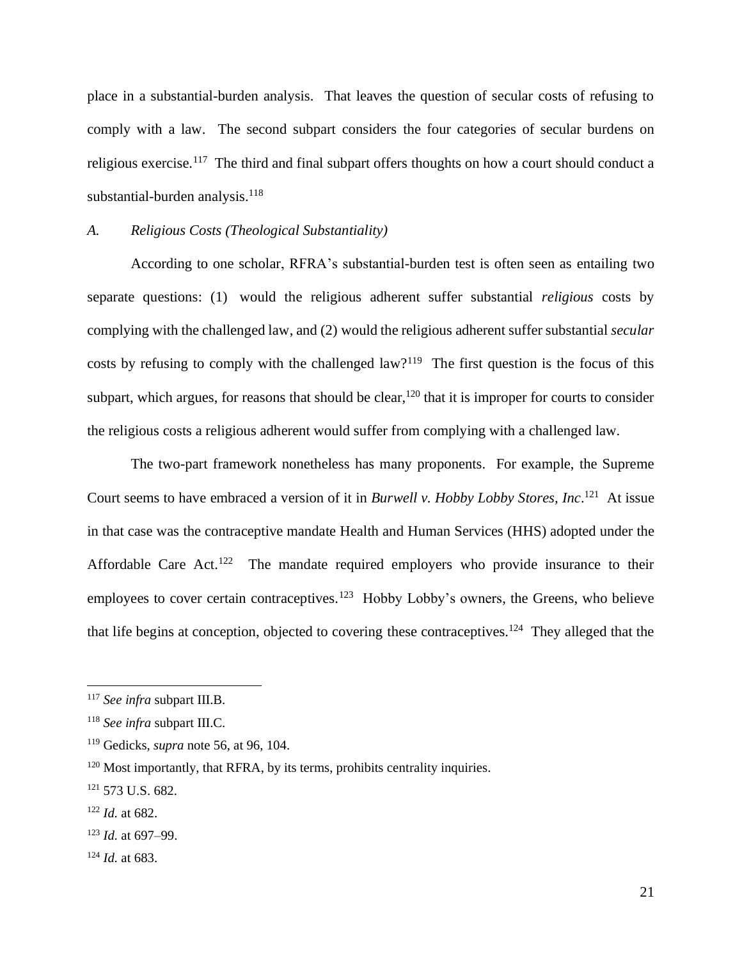place in a substantial-burden analysis. That leaves the question of secular costs of refusing to comply with a law. The second subpart considers the four categories of secular burdens on religious exercise.<sup>117</sup> The third and final subpart offers thoughts on how a court should conduct a substantial-burden analysis.<sup>118</sup>

# *A. Religious Costs (Theological Substantiality)*

According to one scholar, RFRA's substantial-burden test is often seen as entailing two separate questions: (1) would the religious adherent suffer substantial *religious* costs by complying with the challenged law, and (2) would the religious adherent suffer substantial *secular* costs by refusing to comply with the challenged law?<sup>119</sup> The first question is the focus of this subpart, which argues, for reasons that should be clear,  $120$  that it is improper for courts to consider the religious costs a religious adherent would suffer from complying with a challenged law.

The two-part framework nonetheless has many proponents. For example, the Supreme Court seems to have embraced a version of it in *Burwell v. Hobby Lobby Stores, Inc*. <sup>121</sup> At issue in that case was the contraceptive mandate Health and Human Services (HHS) adopted under the Affordable Care Act.<sup>122</sup> The mandate required employers who provide insurance to their employees to cover certain contraceptives.<sup>123</sup> Hobby Lobby's owners, the Greens, who believe that life begins at conception, objected to covering these contraceptives.<sup>124</sup> They alleged that the

<sup>117</sup> *See infra* subpart III.B.

<sup>118</sup> *See infra* subpart III.C.

<sup>119</sup> Gedicks, *supra* note 56, at 96, 104.

<sup>&</sup>lt;sup>120</sup> Most importantly, that RFRA, by its terms, prohibits centrality inquiries.

<sup>121</sup> 573 U.S. 682.

<sup>122</sup> *Id.* at 682.

<sup>123</sup> *Id.* at 697–99.

<sup>124</sup> *Id.* at 683.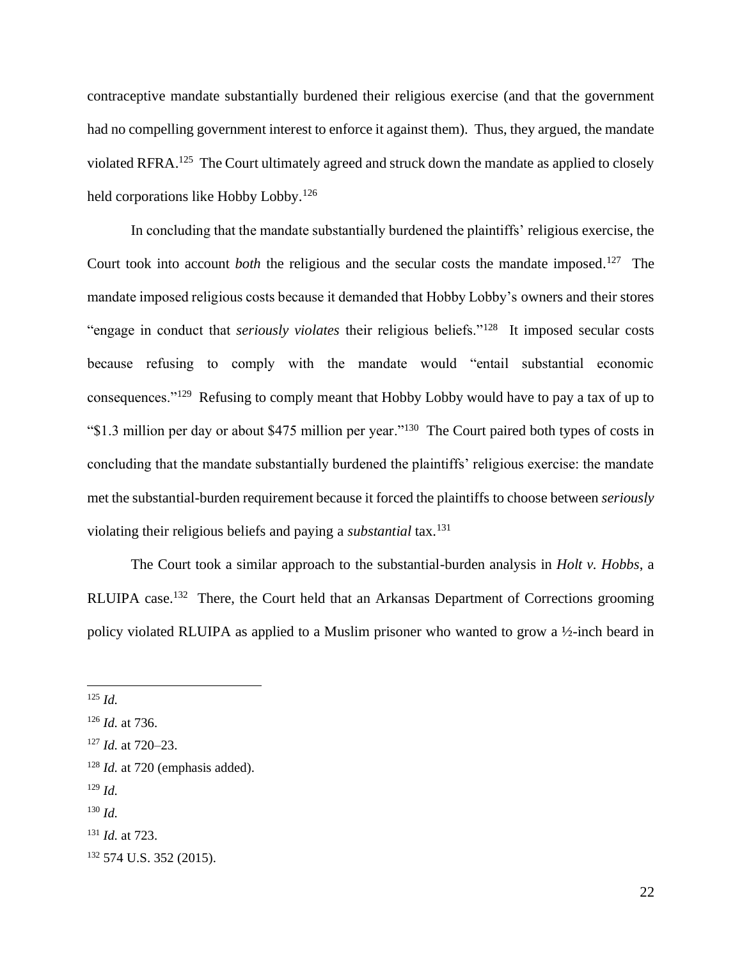contraceptive mandate substantially burdened their religious exercise (and that the government had no compelling government interest to enforce it against them). Thus, they argued, the mandate violated RFRA.<sup>125</sup> The Court ultimately agreed and struck down the mandate as applied to closely held corporations like Hobby Lobby.<sup>126</sup>

In concluding that the mandate substantially burdened the plaintiffs' religious exercise, the Court took into account *both* the religious and the secular costs the mandate imposed.<sup>127</sup> The mandate imposed religious costs because it demanded that Hobby Lobby's owners and their stores "engage in conduct that *seriously violates* their religious beliefs."<sup>128</sup> It imposed secular costs because refusing to comply with the mandate would "entail substantial economic consequences."<sup>129</sup> Refusing to comply meant that Hobby Lobby would have to pay a tax of up to "\$1.3 million per day or about \$475 million per year."<sup>130</sup> The Court paired both types of costs in concluding that the mandate substantially burdened the plaintiffs' religious exercise: the mandate met the substantial-burden requirement because it forced the plaintiffs to choose between *seriously* violating their religious beliefs and paying a *substantial* tax.<sup>131</sup>

The Court took a similar approach to the substantial-burden analysis in *Holt v. Hobbs*, a RLUIPA case.<sup>132</sup> There, the Court held that an Arkansas Department of Corrections grooming policy violated RLUIPA as applied to a Muslim prisoner who wanted to grow a ½-inch beard in

<sup>129</sup> *Id.*

<sup>125</sup> *Id.*

<sup>126</sup> *Id.* at 736.

<sup>127</sup> *Id.* at 720–23.

<sup>&</sup>lt;sup>128</sup> *Id.* at 720 (emphasis added).

<sup>130</sup> *Id.*

<sup>131</sup> *Id.* at 723.

<sup>132</sup> 574 U.S. 352 (2015).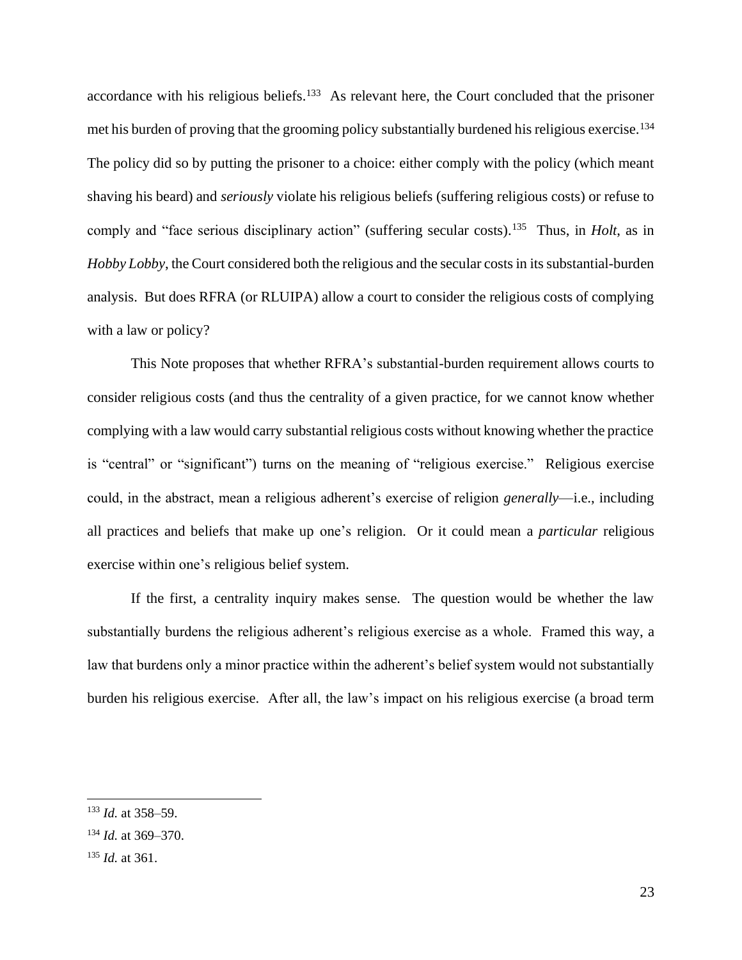accordance with his religious beliefs.<sup>133</sup> As relevant here, the Court concluded that the prisoner met his burden of proving that the grooming policy substantially burdened his religious exercise.<sup>134</sup> The policy did so by putting the prisoner to a choice: either comply with the policy (which meant shaving his beard) and *seriously* violate his religious beliefs (suffering religious costs) or refuse to comply and "face serious disciplinary action" (suffering secular costs).<sup>135</sup> Thus, in *Holt*, as in *Hobby Lobby*, the Court considered both the religious and the secular costs in its substantial-burden analysis. But does RFRA (or RLUIPA) allow a court to consider the religious costs of complying with a law or policy?

This Note proposes that whether RFRA's substantial-burden requirement allows courts to consider religious costs (and thus the centrality of a given practice, for we cannot know whether complying with a law would carry substantial religious costs without knowing whether the practice is "central" or "significant") turns on the meaning of "religious exercise." Religious exercise could, in the abstract, mean a religious adherent's exercise of religion *generally*—i.e., including all practices and beliefs that make up one's religion. Or it could mean a *particular* religious exercise within one's religious belief system.

If the first, a centrality inquiry makes sense. The question would be whether the law substantially burdens the religious adherent's religious exercise as a whole. Framed this way, a law that burdens only a minor practice within the adherent's belief system would not substantially burden his religious exercise. After all, the law's impact on his religious exercise (a broad term

<sup>133</sup> *Id.* at 358–59.

<sup>134</sup> *Id.* at 369–370.

<sup>135</sup> *Id.* at 361.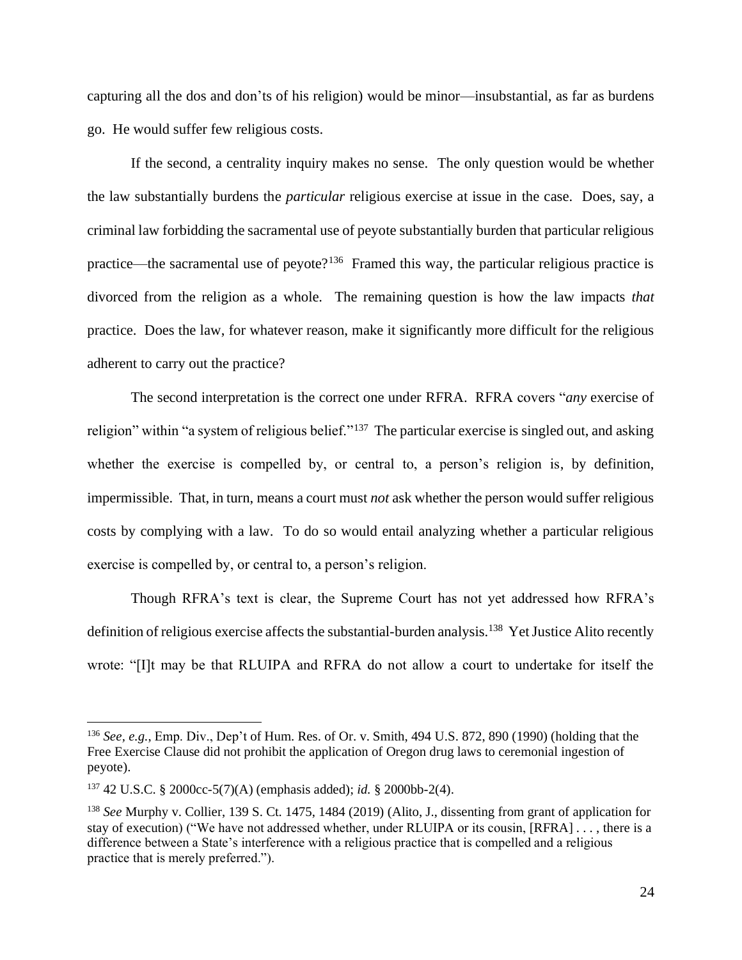capturing all the dos and don'ts of his religion) would be minor—insubstantial, as far as burdens go. He would suffer few religious costs.

If the second, a centrality inquiry makes no sense. The only question would be whether the law substantially burdens the *particular* religious exercise at issue in the case. Does, say, a criminal law forbidding the sacramental use of peyote substantially burden that particular religious practice—the sacramental use of peyote?<sup>136</sup> Framed this way, the particular religious practice is divorced from the religion as a whole. The remaining question is how the law impacts *that* practice. Does the law, for whatever reason, make it significantly more difficult for the religious adherent to carry out the practice?

The second interpretation is the correct one under RFRA. RFRA covers "*any* exercise of religion" within "a system of religious belief."<sup>137</sup> The particular exercise is singled out, and asking whether the exercise is compelled by, or central to, a person's religion is, by definition, impermissible. That, in turn, means a court must *not* ask whether the person would suffer religious costs by complying with a law. To do so would entail analyzing whether a particular religious exercise is compelled by, or central to, a person's religion.

Though RFRA's text is clear, the Supreme Court has not yet addressed how RFRA's definition of religious exercise affects the substantial-burden analysis.<sup>138</sup> Yet Justice Alito recently wrote: "[I]t may be that RLUIPA and RFRA do not allow a court to undertake for itself the

<sup>136</sup> *See, e.g.*, Emp. Div., Dep't of Hum. Res. of Or. v. Smith, 494 U.S. 872, 890 (1990) (holding that the Free Exercise Clause did not prohibit the application of Oregon drug laws to ceremonial ingestion of peyote).

<sup>137</sup> 42 U.S.C. § 2000cc-5(7)(A) (emphasis added); *id.* § 2000bb-2(4).

<sup>138</sup> *See* Murphy v. Collier, 139 S. Ct. 1475, 1484 (2019) (Alito, J., dissenting from grant of application for stay of execution) ("We have not addressed whether, under RLUIPA or its cousin, [RFRA] . . . , there is a difference between a State's interference with a religious practice that is compelled and a religious practice that is merely preferred.").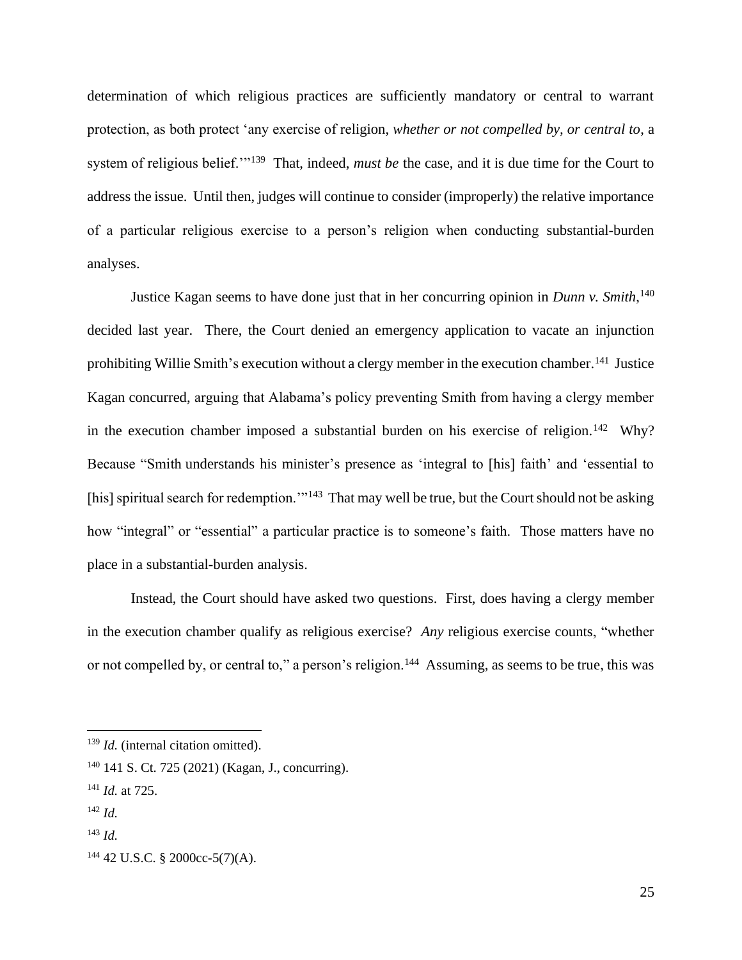determination of which religious practices are sufficiently mandatory or central to warrant protection, as both protect 'any exercise of religion, *whether or not compelled by, or central to*, a system of religious belief.'"<sup>139</sup> That, indeed, *must be* the case, and it is due time for the Court to address the issue. Until then, judges will continue to consider (improperly) the relative importance of a particular religious exercise to a person's religion when conducting substantial-burden analyses.

Justice Kagan seems to have done just that in her concurring opinion in *Dunn v. Smith*, 140 decided last year. There, the Court denied an emergency application to vacate an injunction prohibiting Willie Smith's execution without a clergy member in the execution chamber.<sup>141</sup> Justice Kagan concurred, arguing that Alabama's policy preventing Smith from having a clergy member in the execution chamber imposed a substantial burden on his exercise of religion.<sup>142</sup> Why? Because "Smith understands his minister's presence as 'integral to [his] faith' and 'essential to [his] spiritual search for redemption."<sup>143</sup> That may well be true, but the Court should not be asking how "integral" or "essential" a particular practice is to someone's faith. Those matters have no place in a substantial-burden analysis.

Instead, the Court should have asked two questions. First, does having a clergy member in the execution chamber qualify as religious exercise? *Any* religious exercise counts, "whether or not compelled by, or central to," a person's religion.<sup>144</sup> Assuming, as seems to be true, this was

<sup>&</sup>lt;sup>139</sup> *Id.* (internal citation omitted).

<sup>140</sup> 141 S. Ct. 725 (2021) (Kagan, J., concurring).

<sup>141</sup> *Id.* at 725.

<sup>142</sup> *Id.*

<sup>143</sup> *Id.*

 $144$  42 U.S.C. § 2000cc-5(7)(A).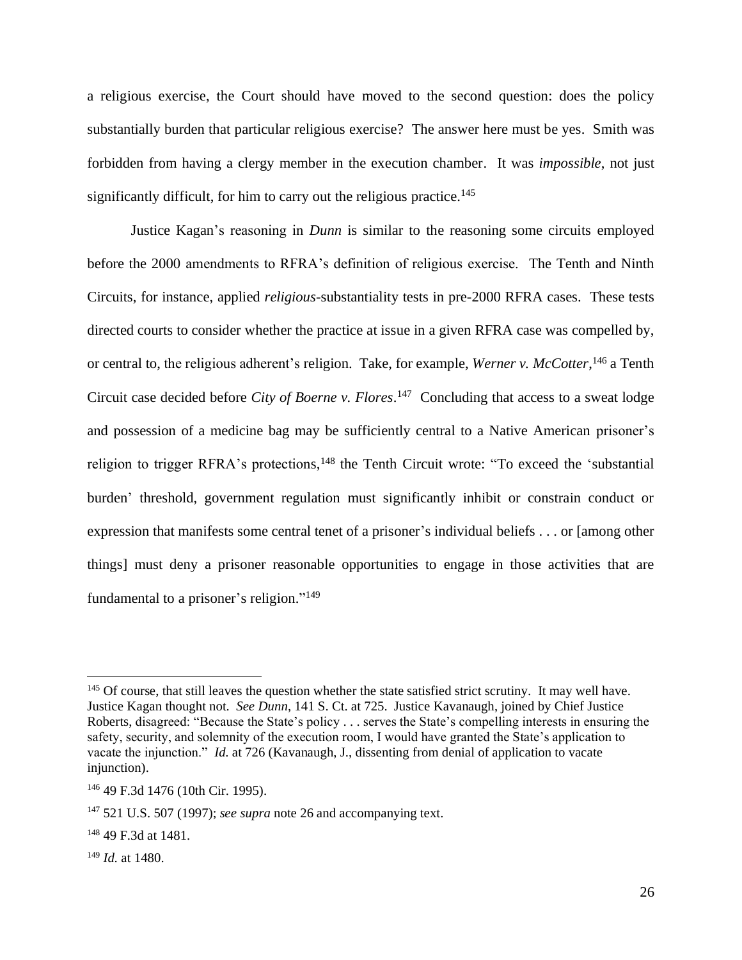a religious exercise, the Court should have moved to the second question: does the policy substantially burden that particular religious exercise? The answer here must be yes. Smith was forbidden from having a clergy member in the execution chamber. It was *impossible*, not just significantly difficult, for him to carry out the religious practice.<sup>145</sup>

Justice Kagan's reasoning in *Dunn* is similar to the reasoning some circuits employed before the 2000 amendments to RFRA's definition of religious exercise. The Tenth and Ninth Circuits, for instance, applied *religious*-substantiality tests in pre-2000 RFRA cases. These tests directed courts to consider whether the practice at issue in a given RFRA case was compelled by, or central to, the religious adherent's religion. Take, for example, *Werner v. McCotter*, <sup>146</sup> a Tenth Circuit case decided before *City of Boerne v. Flores*. <sup>147</sup> Concluding that access to a sweat lodge and possession of a medicine bag may be sufficiently central to a Native American prisoner's religion to trigger RFRA's protections,<sup>148</sup> the Tenth Circuit wrote: "To exceed the 'substantial burden' threshold, government regulation must significantly inhibit or constrain conduct or expression that manifests some central tenet of a prisoner's individual beliefs . . . or [among other things] must deny a prisoner reasonable opportunities to engage in those activities that are fundamental to a prisoner's religion."<sup>149</sup>

<sup>&</sup>lt;sup>145</sup> Of course, that still leaves the question whether the state satisfied strict scrutiny. It may well have. Justice Kagan thought not. *See Dunn*, 141 S. Ct. at 725. Justice Kavanaugh, joined by Chief Justice Roberts, disagreed: "Because the State's policy . . . serves the State's compelling interests in ensuring the safety, security, and solemnity of the execution room, I would have granted the State's application to vacate the injunction." *Id.* at 726 (Kavanaugh, J., dissenting from denial of application to vacate injunction).

<sup>146</sup> 49 F.3d 1476 (10th Cir. 1995).

<sup>147</sup> 521 U.S. 507 (1997); *see supra* note 26 and accompanying text.

<sup>148</sup> 49 F.3d at 1481.

<sup>149</sup> *Id.* at 1480.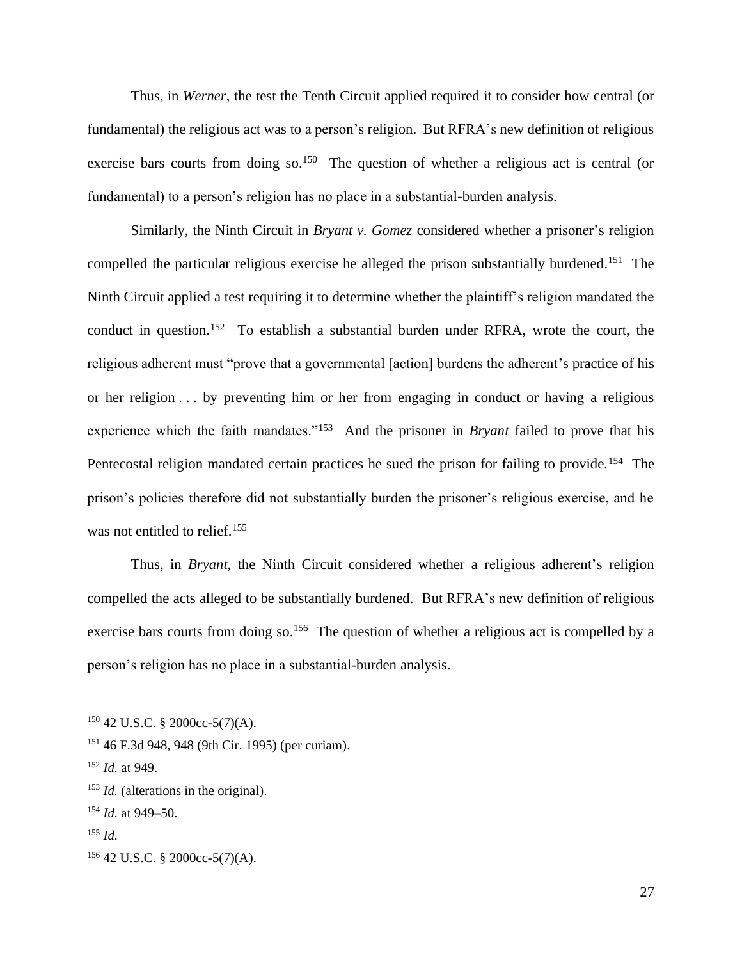Thus, in *Werner*, the test the Tenth Circuit applied required it to consider how central (or fundamental) the religious act was to a person's religion. But RFRA's new definition of religious exercise bars courts from doing so.<sup>150</sup> The question of whether a religious act is central (or fundamental) to a person's religion has no place in a substantial-burden analysis.

Similarly, the Ninth Circuit in *Bryant v. Gomez* considered whether a prisoner's religion compelled the particular religious exercise he alleged the prison substantially burdened. <sup>151</sup> The Ninth Circuit applied a test requiring it to determine whether the plaintiff's religion mandated the conduct in question.<sup>152</sup> To establish a substantial burden under RFRA, wrote the court, the religious adherent must "prove that a governmental [action] burdens the adherent's practice of his or her religion . . . by preventing him or her from engaging in conduct or having a religious experience which the faith mandates."<sup>153</sup> And the prisoner in *Bryant* failed to prove that his Pentecostal religion mandated certain practices he sued the prison for failing to provide.<sup>154</sup> The prison's policies therefore did not substantially burden the prisoner's religious exercise, and he was not entitled to relief.<sup>155</sup>

Thus, in *Bryant*, the Ninth Circuit considered whether a religious adherent's religion compelled the acts alleged to be substantially burdened. But RFRA's new definition of religious exercise bars courts from doing so.<sup>156</sup> The question of whether a religious act is compelled by a person's religion has no place in a substantial-burden analysis.

 $150$  42 U.S.C. § 2000cc-5(7)(A).

<sup>151</sup> 46 F.3d 948, 948 (9th Cir. 1995) (per curiam).

<sup>152</sup> *Id.* at 949.

<sup>&</sup>lt;sup>153</sup> *Id.* (alterations in the original).

<sup>154</sup> *Id.* at 949–50.

<sup>155</sup> *Id.*

 $156$  42 U.S.C. § 2000cc-5(7)(A).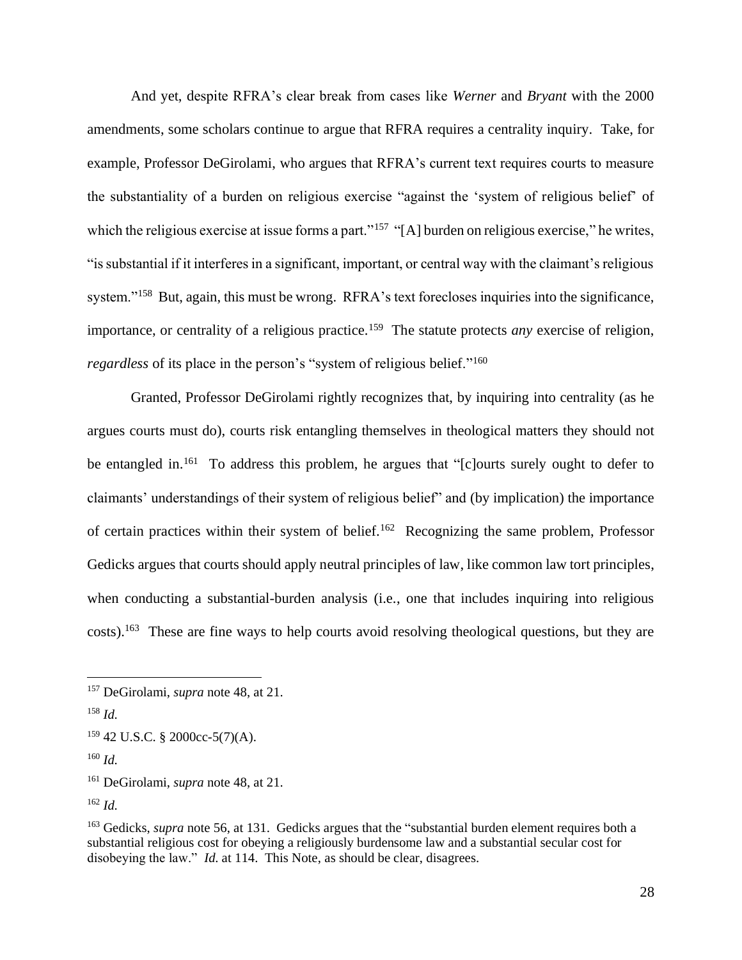And yet, despite RFRA's clear break from cases like *Werner* and *Bryant* with the 2000 amendments, some scholars continue to argue that RFRA requires a centrality inquiry. Take, for example, Professor DeGirolami, who argues that RFRA's current text requires courts to measure the substantiality of a burden on religious exercise "against the 'system of religious belief' of which the religious exercise at issue forms a part."<sup>157</sup> "[A] burden on religious exercise," he writes, "is substantial if it interferes in a significant, important, or central way with the claimant's religious system."<sup>158</sup> But, again, this must be wrong. RFRA's text forecloses inquiries into the significance, importance, or centrality of a religious practice.<sup>159</sup> The statute protects *any* exercise of religion, *regardless* of its place in the person's "system of religious belief."<sup>160</sup>

Granted, Professor DeGirolami rightly recognizes that, by inquiring into centrality (as he argues courts must do), courts risk entangling themselves in theological matters they should not be entangled in.<sup>161</sup> To address this problem, he argues that "[c]ourts surely ought to defer to claimants' understandings of their system of religious belief" and (by implication) the importance of certain practices within their system of belief.<sup>162</sup> Recognizing the same problem, Professor Gedicks argues that courts should apply neutral principles of law, like common law tort principles, when conducting a substantial-burden analysis (i.e., one that includes inquiring into religious costs).<sup>163</sup> These are fine ways to help courts avoid resolving theological questions, but they are

<sup>157</sup> DeGirolami, *supra* note 48, at 21.

<sup>158</sup> *Id.*

 $159$  42 U.S.C. § 2000cc-5(7)(A).

<sup>160</sup> *Id.*

<sup>161</sup> DeGirolami, *supra* note 48, at 21.

<sup>162</sup> *Id.*

<sup>&</sup>lt;sup>163</sup> Gedicks, *supra* note 56, at 131. Gedicks argues that the "substantial burden element requires both a substantial religious cost for obeying a religiously burdensome law and a substantial secular cost for disobeying the law." *Id.* at 114. This Note, as should be clear, disagrees.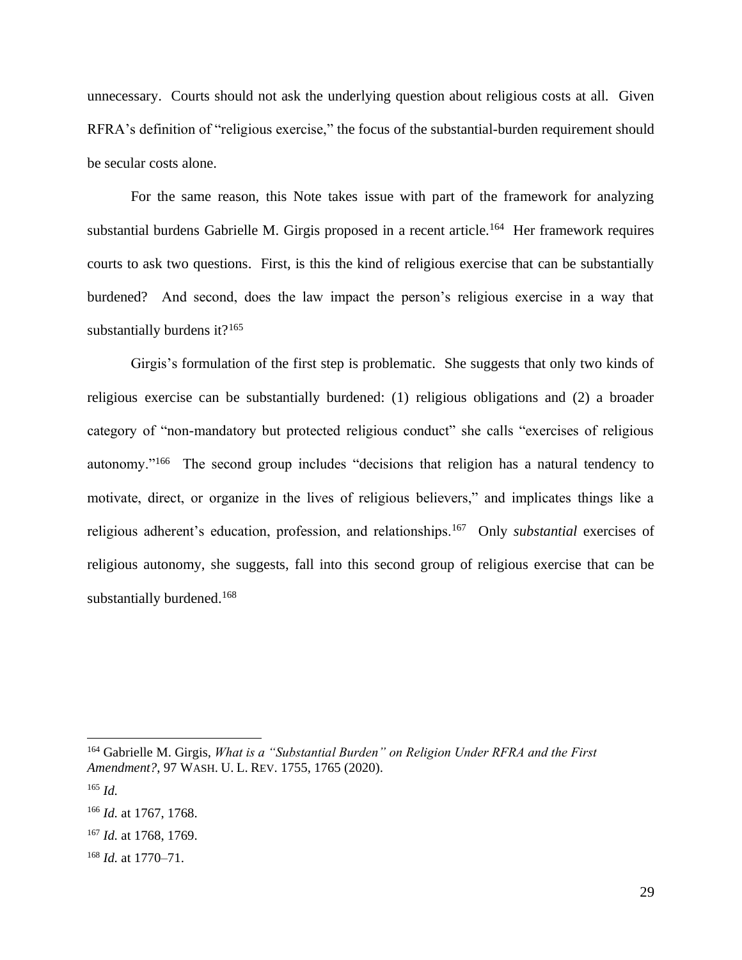unnecessary. Courts should not ask the underlying question about religious costs at all. Given RFRA's definition of "religious exercise," the focus of the substantial-burden requirement should be secular costs alone.

For the same reason, this Note takes issue with part of the framework for analyzing substantial burdens Gabrielle M. Girgis proposed in a recent article.<sup>164</sup> Her framework requires courts to ask two questions. First, is this the kind of religious exercise that can be substantially burdened? And second, does the law impact the person's religious exercise in a way that substantially burdens it? $165$ 

Girgis's formulation of the first step is problematic. She suggests that only two kinds of religious exercise can be substantially burdened: (1) religious obligations and (2) a broader category of "non-mandatory but protected religious conduct" she calls "exercises of religious autonomy."<sup>166</sup> The second group includes "decisions that religion has a natural tendency to motivate, direct, or organize in the lives of religious believers," and implicates things like a religious adherent's education, profession, and relationships.<sup>167</sup> Only *substantial* exercises of religious autonomy, she suggests, fall into this second group of religious exercise that can be substantially burdened.<sup>168</sup>

<sup>164</sup> Gabrielle M. Girgis, *What is a "Substantial Burden" on Religion Under RFRA and the First Amendment?*, 97 WASH. U. L. REV. 1755, 1765 (2020).

<sup>165</sup> *Id.*

<sup>166</sup> *Id.* at 1767, 1768.

<sup>167</sup> *Id.* at 1768, 1769.

<sup>168</sup> *Id.* at 1770–71.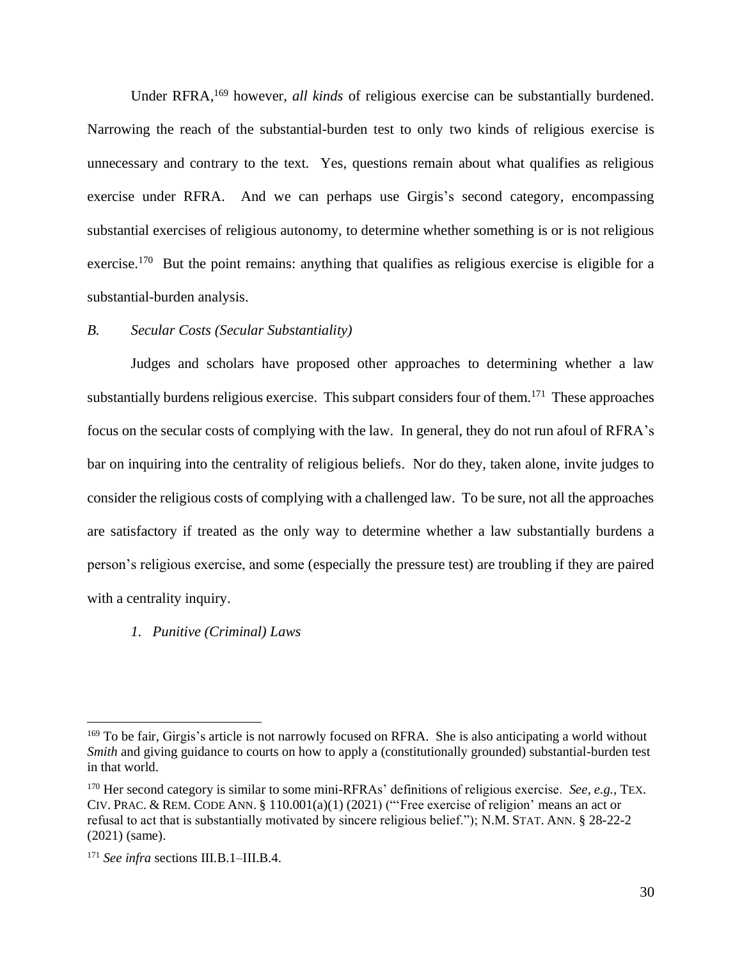Under RFRA, <sup>169</sup> however, *all kinds* of religious exercise can be substantially burdened. Narrowing the reach of the substantial-burden test to only two kinds of religious exercise is unnecessary and contrary to the text. Yes, questions remain about what qualifies as religious exercise under RFRA. And we can perhaps use Girgis's second category, encompassing substantial exercises of religious autonomy, to determine whether something is or is not religious exercise.<sup>170</sup> But the point remains: anything that qualifies as religious exercise is eligible for a substantial-burden analysis.

# *B. Secular Costs (Secular Substantiality)*

Judges and scholars have proposed other approaches to determining whether a law substantially burdens religious exercise. This subpart considers four of them.<sup>171</sup> These approaches focus on the secular costs of complying with the law. In general, they do not run afoul of RFRA's bar on inquiring into the centrality of religious beliefs. Nor do they, taken alone, invite judges to consider the religious costs of complying with a challenged law. To be sure, not all the approaches are satisfactory if treated as the only way to determine whether a law substantially burdens a person's religious exercise, and some (especially the pressure test) are troubling if they are paired with a centrality inquiry.

#### *1. Punitive (Criminal) Laws*

<sup>&</sup>lt;sup>169</sup> To be fair, Girgis's article is not narrowly focused on RFRA. She is also anticipating a world without *Smith* and giving guidance to courts on how to apply a (constitutionally grounded) substantial-burden test in that world.

<sup>170</sup> Her second category is similar to some mini-RFRAs' definitions of religious exercise. *See, e.g.*, TEX. CIV. PRAC. & REM. CODE ANN. § 110.001(a)(1) (2021) ("'Free exercise of religion' means an act or refusal to act that is substantially motivated by sincere religious belief."); N.M. STAT. ANN. § 28-22-2 (2021) (same).

<sup>171</sup> *See infra* sections III.B.1–III.B.4.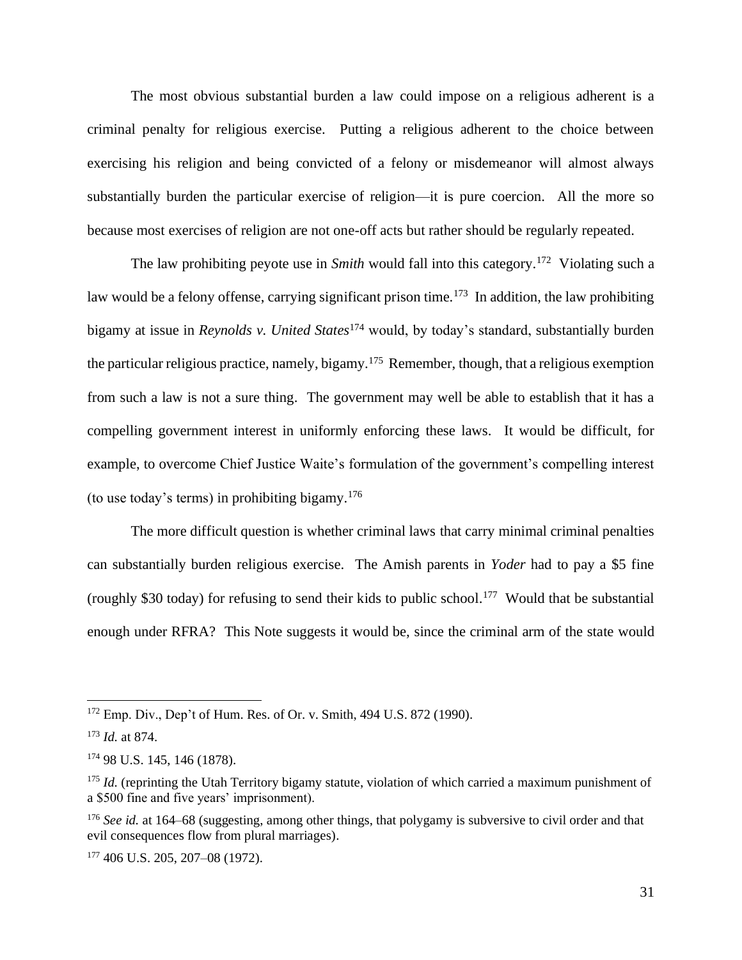The most obvious substantial burden a law could impose on a religious adherent is a criminal penalty for religious exercise. Putting a religious adherent to the choice between exercising his religion and being convicted of a felony or misdemeanor will almost always substantially burden the particular exercise of religion—it is pure coercion. All the more so because most exercises of religion are not one-off acts but rather should be regularly repeated.

The law prohibiting peyote use in *Smith* would fall into this category. 172 Violating such a law would be a felony offense, carrying significant prison time.<sup>173</sup> In addition, the law prohibiting bigamy at issue in *Reynolds v. United States*<sup>174</sup> would, by today's standard, substantially burden the particular religious practice, namely, bigamy.<sup>175</sup> Remember, though, that a religious exemption from such a law is not a sure thing. The government may well be able to establish that it has a compelling government interest in uniformly enforcing these laws. It would be difficult, for example, to overcome Chief Justice Waite's formulation of the government's compelling interest (to use today's terms) in prohibiting bigamy.<sup>176</sup>

The more difficult question is whether criminal laws that carry minimal criminal penalties can substantially burden religious exercise. The Amish parents in *Yoder* had to pay a \$5 fine (roughly \$30 today) for refusing to send their kids to public school. <sup>177</sup> Would that be substantial enough under RFRA? This Note suggests it would be, since the criminal arm of the state would

<sup>172</sup> Emp. Div., Dep't of Hum. Res. of Or. v. Smith, 494 U.S. 872 (1990).

<sup>173</sup> *Id.* at 874.

<sup>174</sup> 98 U.S. 145, 146 (1878).

<sup>&</sup>lt;sup>175</sup> *Id.* (reprinting the Utah Territory bigamy statute, violation of which carried a maximum punishment of a \$500 fine and five years' imprisonment).

<sup>&</sup>lt;sup>176</sup> See id. at 164–68 (suggesting, among other things, that polygamy is subversive to civil order and that evil consequences flow from plural marriages).

<sup>177</sup> 406 U.S. 205, 207–08 (1972).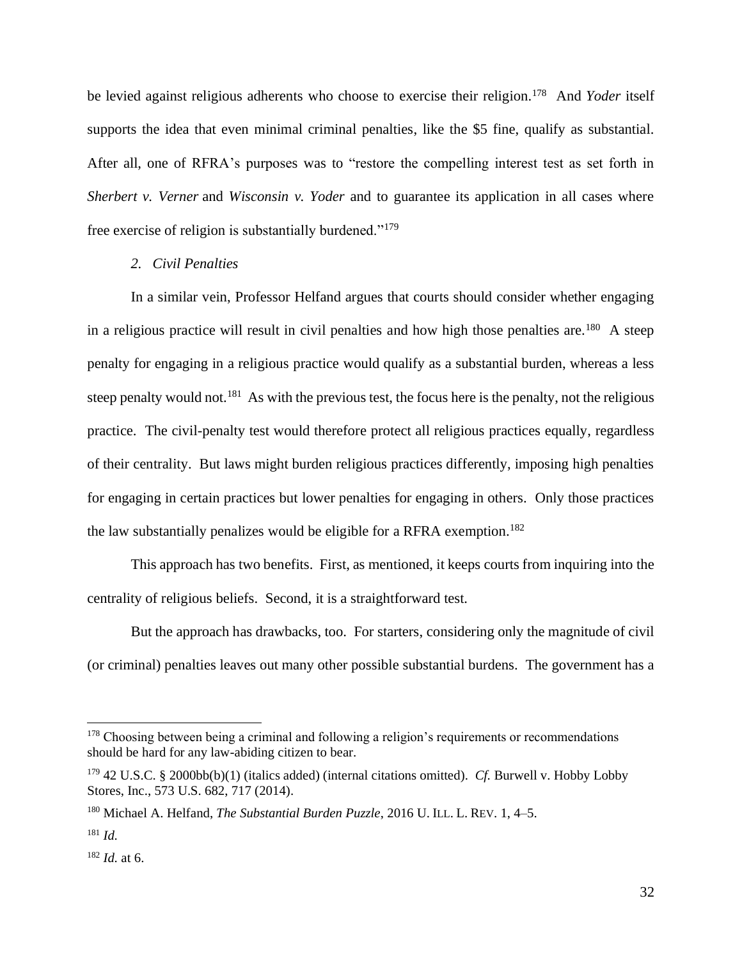be levied against religious adherents who choose to exercise their religion.<sup>178</sup> And *Yoder* itself supports the idea that even minimal criminal penalties, like the \$5 fine, qualify as substantial. After all, one of RFRA's purposes was to "restore the compelling interest test as set forth in *Sherbert v. Verner* and *Wisconsin v. Yoder* and to guarantee its application in all cases where free exercise of religion is substantially burdened."<sup>179</sup>

# *2. Civil Penalties*

In a similar vein, Professor Helfand argues that courts should consider whether engaging in a religious practice will result in civil penalties and how high those penalties are.<sup>180</sup> A steep penalty for engaging in a religious practice would qualify as a substantial burden, whereas a less steep penalty would not.<sup>181</sup> As with the previous test, the focus here is the penalty, not the religious practice. The civil-penalty test would therefore protect all religious practices equally, regardless of their centrality. But laws might burden religious practices differently, imposing high penalties for engaging in certain practices but lower penalties for engaging in others. Only those practices the law substantially penalizes would be eligible for a RFRA exemption.<sup>182</sup>

This approach has two benefits. First, as mentioned, it keeps courts from inquiring into the centrality of religious beliefs. Second, it is a straightforward test.

But the approach has drawbacks, too. For starters, considering only the magnitude of civil (or criminal) penalties leaves out many other possible substantial burdens. The government has a

<sup>&</sup>lt;sup>178</sup> Choosing between being a criminal and following a religion's requirements or recommendations should be hard for any law-abiding citizen to bear.

<sup>179</sup> 42 U.S.C. § 2000bb(b)(1) (italics added) (internal citations omitted). *Cf.* Burwell v. Hobby Lobby Stores, Inc., 573 U.S. 682, 717 (2014).

<sup>180</sup> Michael A. Helfand, *The Substantial Burden Puzzle*, 2016 U. ILL. L. REV. 1, 4–5.

<sup>181</sup> *Id.*

<sup>182</sup> *Id.* at 6.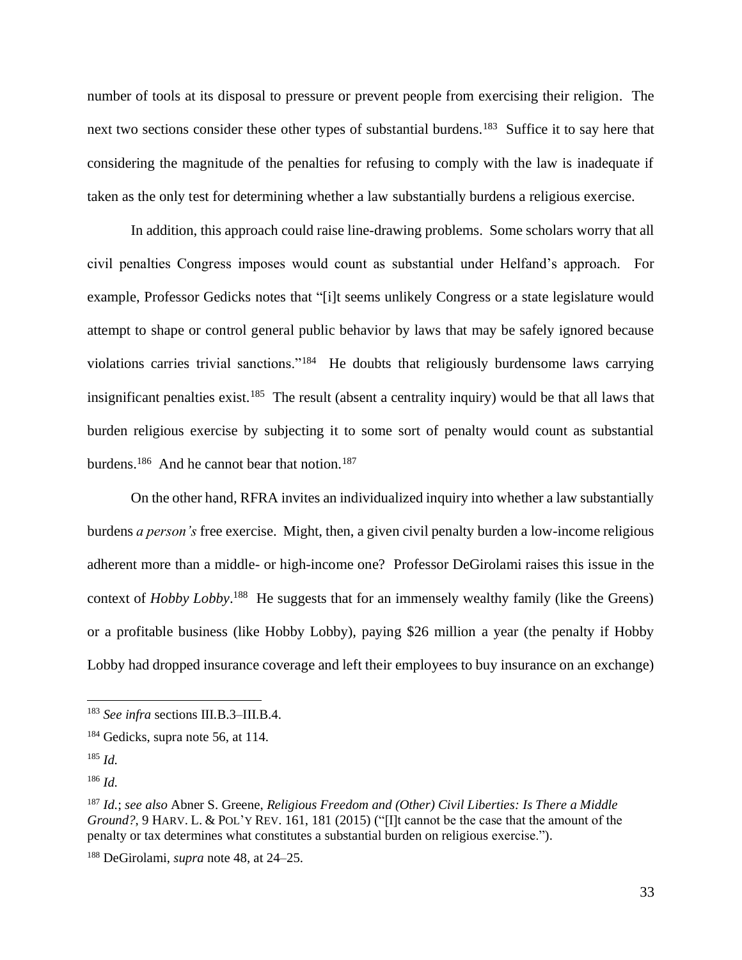number of tools at its disposal to pressure or prevent people from exercising their religion. The next two sections consider these other types of substantial burdens.<sup>183</sup> Suffice it to say here that considering the magnitude of the penalties for refusing to comply with the law is inadequate if taken as the only test for determining whether a law substantially burdens a religious exercise.

In addition, this approach could raise line-drawing problems. Some scholars worry that all civil penalties Congress imposes would count as substantial under Helfand's approach. For example, Professor Gedicks notes that "[i]t seems unlikely Congress or a state legislature would attempt to shape or control general public behavior by laws that may be safely ignored because violations carries trivial sanctions."<sup>184</sup> He doubts that religiously burdensome laws carrying insignificant penalties exist.<sup>185</sup> The result (absent a centrality inquiry) would be that all laws that burden religious exercise by subjecting it to some sort of penalty would count as substantial burdens.<sup>186</sup> And he cannot bear that notion.<sup>187</sup>

On the other hand, RFRA invites an individualized inquiry into whether a law substantially burdens *a person's* free exercise. Might, then, a given civil penalty burden a low-income religious adherent more than a middle- or high-income one? Professor DeGirolami raises this issue in the context of *Hobby Lobby*.<sup>188</sup> He suggests that for an immensely wealthy family (like the Greens) or a profitable business (like Hobby Lobby), paying \$26 million a year (the penalty if Hobby Lobby had dropped insurance coverage and left their employees to buy insurance on an exchange)

<sup>183</sup> *See infra* sections III.B.3–III.B.4.

<sup>&</sup>lt;sup>184</sup> Gedicks, supra note 56, at 114.

<sup>185</sup> *Id.*

<sup>186</sup> *Id.*

<sup>187</sup> *Id.*; *see also* Abner S. Greene, *Religious Freedom and (Other) Civil Liberties: Is There a Middle Ground?*, 9 HARV. L. & POL'Y REV. 161, 181 (2015) ("[I]t cannot be the case that the amount of the penalty or tax determines what constitutes a substantial burden on religious exercise.").

<sup>188</sup> DeGirolami, *supra* note 48, at 24–25.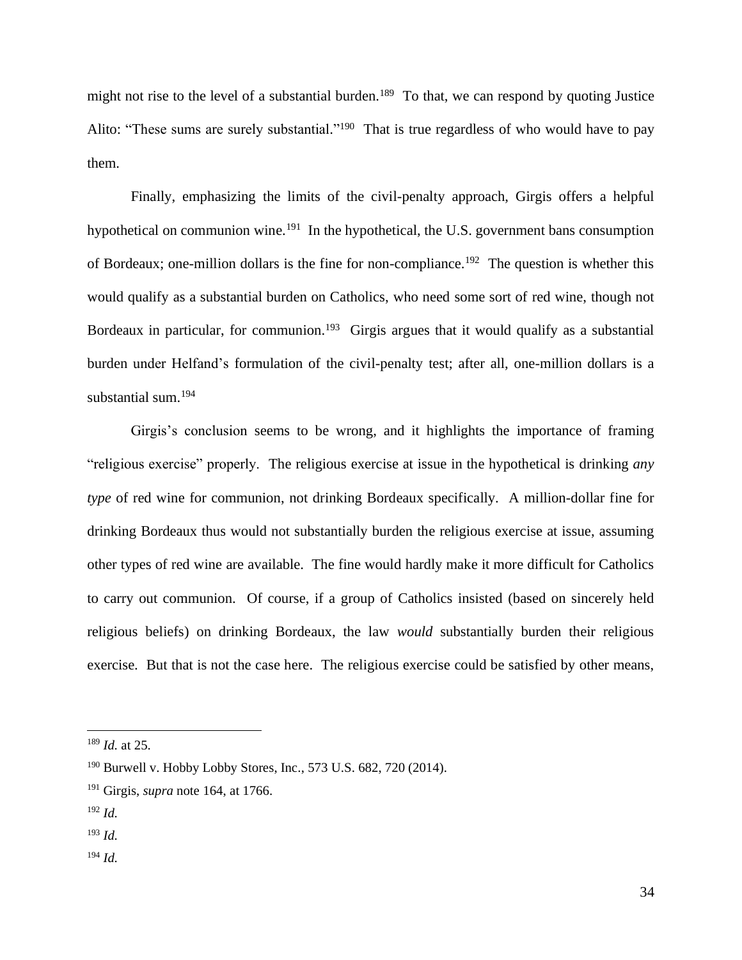might not rise to the level of a substantial burden.<sup>189</sup> To that, we can respond by quoting Justice Alito: "These sums are surely substantial."<sup>190</sup> That is true regardless of who would have to pay them.

Finally, emphasizing the limits of the civil-penalty approach, Girgis offers a helpful hypothetical on communion wine.<sup>191</sup> In the hypothetical, the U.S. government bans consumption of Bordeaux; one-million dollars is the fine for non-compliance.<sup>192</sup> The question is whether this would qualify as a substantial burden on Catholics, who need some sort of red wine, though not Bordeaux in particular, for communion.<sup>193</sup> Girgis argues that it would qualify as a substantial burden under Helfand's formulation of the civil-penalty test; after all, one-million dollars is a substantial sum. 194

Girgis's conclusion seems to be wrong, and it highlights the importance of framing "religious exercise" properly. The religious exercise at issue in the hypothetical is drinking *any type* of red wine for communion, not drinking Bordeaux specifically. A million-dollar fine for drinking Bordeaux thus would not substantially burden the religious exercise at issue, assuming other types of red wine are available. The fine would hardly make it more difficult for Catholics to carry out communion. Of course, if a group of Catholics insisted (based on sincerely held religious beliefs) on drinking Bordeaux, the law *would* substantially burden their religious exercise. But that is not the case here. The religious exercise could be satisfied by other means,

<sup>194</sup> *Id.*

<sup>189</sup> *Id.* at 25.

<sup>190</sup> Burwell v. Hobby Lobby Stores, Inc., 573 U.S. 682, 720 (2014).

<sup>191</sup> Girgis, *supra* note 164, at 1766.

 $192$  *Id.* 

<sup>193</sup> *Id.*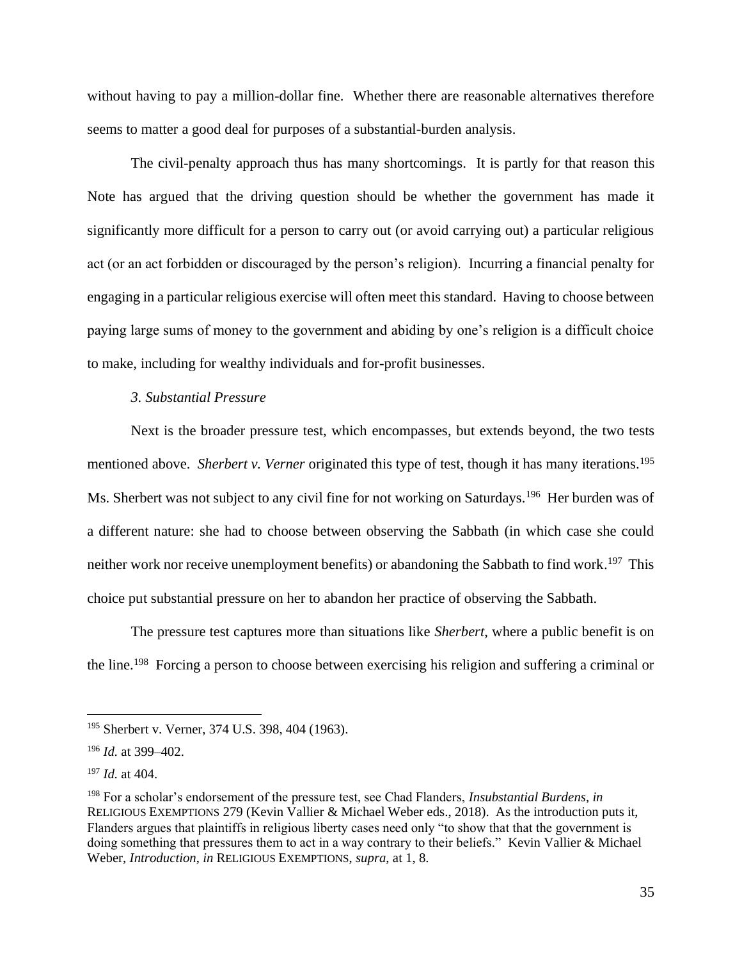without having to pay a million-dollar fine. Whether there are reasonable alternatives therefore seems to matter a good deal for purposes of a substantial-burden analysis.

The civil-penalty approach thus has many shortcomings. It is partly for that reason this Note has argued that the driving question should be whether the government has made it significantly more difficult for a person to carry out (or avoid carrying out) a particular religious act (or an act forbidden or discouraged by the person's religion). Incurring a financial penalty for engaging in a particular religious exercise will often meet this standard. Having to choose between paying large sums of money to the government and abiding by one's religion is a difficult choice to make, including for wealthy individuals and for-profit businesses.

# *3. Substantial Pressure*

Next is the broader pressure test, which encompasses, but extends beyond, the two tests mentioned above. *Sherbert v. Verner* originated this type of test, though it has many iterations.<sup>195</sup> Ms. Sherbert was not subject to any civil fine for not working on Saturdays.<sup>196</sup> Her burden was of a different nature: she had to choose between observing the Sabbath (in which case she could neither work nor receive unemployment benefits) or abandoning the Sabbath to find work. <sup>197</sup> This choice put substantial pressure on her to abandon her practice of observing the Sabbath.

The pressure test captures more than situations like *Sherbert*, where a public benefit is on the line. <sup>198</sup> Forcing a person to choose between exercising his religion and suffering a criminal or

<sup>&</sup>lt;sup>195</sup> Sherbert v. Verner, 374 U.S. 398, 404 (1963).

<sup>196</sup> *Id.* at 399–402.

<sup>197</sup> *Id.* at 404.

<sup>198</sup> For a scholar's endorsement of the pressure test, see Chad Flanders, *Insubstantial Burdens*, *in* RELIGIOUS EXEMPTIONS 279 (Kevin Vallier & Michael Weber eds., 2018). As the introduction puts it, Flanders argues that plaintiffs in religious liberty cases need only "to show that that the government is doing something that pressures them to act in a way contrary to their beliefs." Kevin Vallier & Michael Weber, *Introduction*, *in* RELIGIOUS EXEMPTIONS, *supra*, at 1, 8.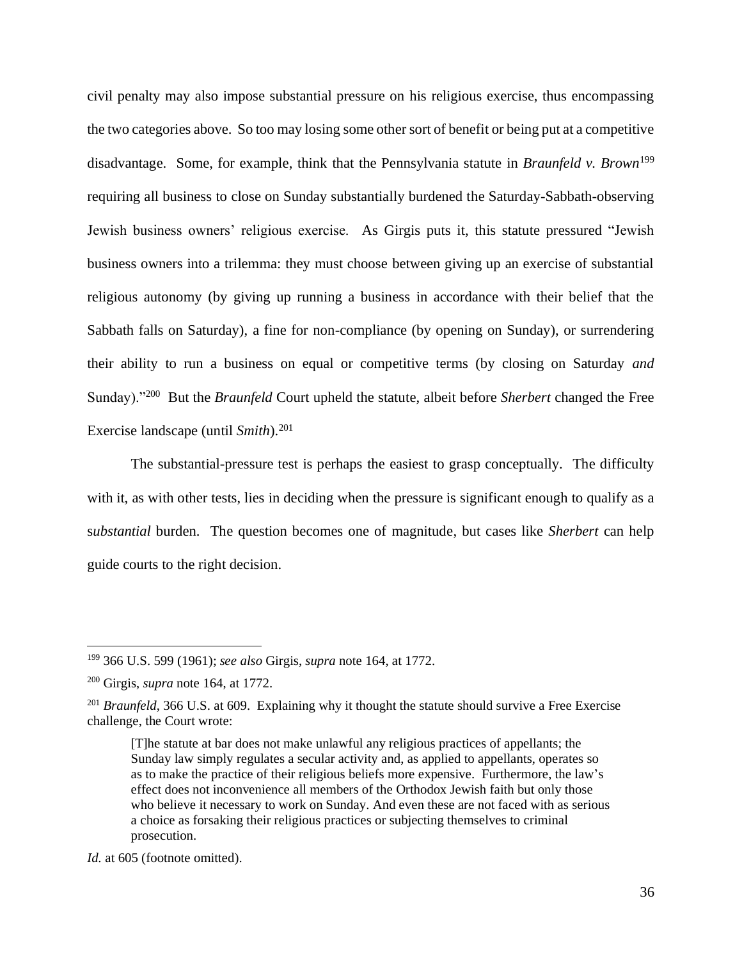civil penalty may also impose substantial pressure on his religious exercise, thus encompassing the two categories above. So too may losing some other sort of benefit or being put at a competitive disadvantage. Some, for example, think that the Pennsylvania statute in *Braunfeld v. Brown*<sup>199</sup> requiring all business to close on Sunday substantially burdened the Saturday-Sabbath-observing Jewish business owners' religious exercise. As Girgis puts it, this statute pressured "Jewish business owners into a trilemma: they must choose between giving up an exercise of substantial religious autonomy (by giving up running a business in accordance with their belief that the Sabbath falls on Saturday), a fine for non-compliance (by opening on Sunday), or surrendering their ability to run a business on equal or competitive terms (by closing on Saturday *and* Sunday)."<sup>200</sup> But the *Braunfeld* Court upheld the statute, albeit before *Sherbert* changed the Free Exercise landscape (until *Smith*).<sup>201</sup>

The substantial-pressure test is perhaps the easiest to grasp conceptually. The difficulty with it, as with other tests, lies in deciding when the pressure is significant enough to qualify as a s*ubstantial* burden. The question becomes one of magnitude, but cases like *Sherbert* can help guide courts to the right decision.

<sup>199</sup> 366 U.S. 599 (1961); *see also* Girgis, *supra* note 164, at 1772.

<sup>200</sup> Girgis, *supra* note 164, at 1772.

<sup>&</sup>lt;sup>201</sup> *Braunfeld*, 366 U.S. at 609. Explaining why it thought the statute should survive a Free Exercise challenge, the Court wrote:

<sup>[</sup>T]he statute at bar does not make unlawful any religious practices of appellants; the Sunday law simply regulates a secular activity and, as applied to appellants, operates so as to make the practice of their religious beliefs more expensive. Furthermore, the law's effect does not inconvenience all members of the Orthodox Jewish faith but only those who believe it necessary to work on Sunday. And even these are not faced with as serious a choice as forsaking their religious practices or subjecting themselves to criminal prosecution.

*Id.* at 605 (footnote omitted).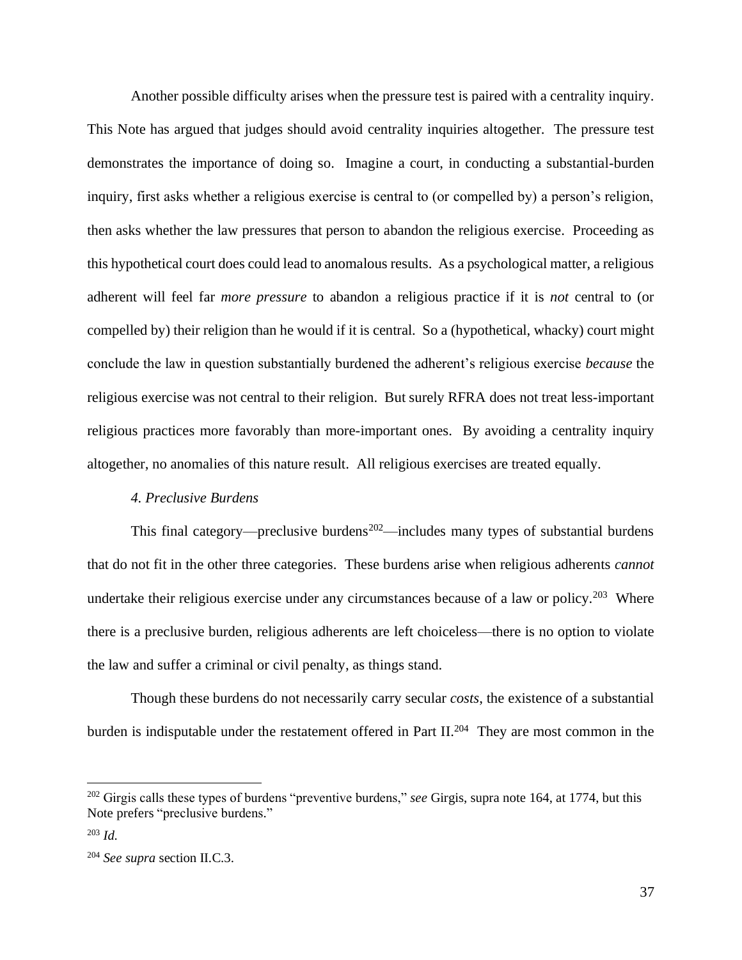Another possible difficulty arises when the pressure test is paired with a centrality inquiry. This Note has argued that judges should avoid centrality inquiries altogether. The pressure test demonstrates the importance of doing so. Imagine a court, in conducting a substantial-burden inquiry, first asks whether a religious exercise is central to (or compelled by) a person's religion, then asks whether the law pressures that person to abandon the religious exercise. Proceeding as this hypothetical court does could lead to anomalous results. As a psychological matter, a religious adherent will feel far *more pressure* to abandon a religious practice if it is *not* central to (or compelled by) their religion than he would if it is central. So a (hypothetical, whacky) court might conclude the law in question substantially burdened the adherent's religious exercise *because* the religious exercise was not central to their religion. But surely RFRA does not treat less-important religious practices more favorably than more-important ones. By avoiding a centrality inquiry altogether, no anomalies of this nature result. All religious exercises are treated equally.

#### *4. Preclusive Burdens*

This final category—preclusive burdens<sup>202</sup>—includes many types of substantial burdens that do not fit in the other three categories. These burdens arise when religious adherents *cannot* undertake their religious exercise under any circumstances because of a law or policy.<sup>203</sup> Where there is a preclusive burden, religious adherents are left choiceless—there is no option to violate the law and suffer a criminal or civil penalty, as things stand.

Though these burdens do not necessarily carry secular *costs*, the existence of a substantial burden is indisputable under the restatement offered in Part II.<sup>204</sup> They are most common in the

<sup>&</sup>lt;sup>202</sup> Girgis calls these types of burdens "preventive burdens," *see* Girgis, supra note 164, at 1774, but this Note prefers "preclusive burdens."

<sup>203</sup> *Id.*

<sup>204</sup> *See supra* section II.C.3.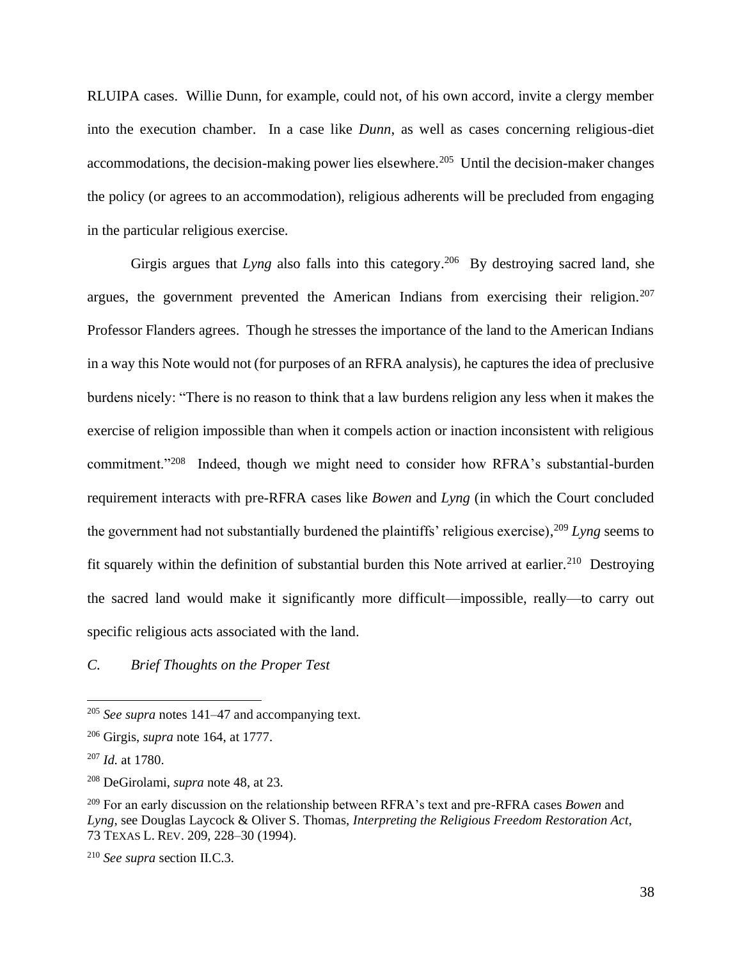RLUIPA cases. Willie Dunn, for example, could not, of his own accord, invite a clergy member into the execution chamber. In a case like *Dunn*, as well as cases concerning religious-diet accommodations, the decision-making power lies elsewhere.<sup>205</sup> Until the decision-maker changes the policy (or agrees to an accommodation), religious adherents will be precluded from engaging in the particular religious exercise.

Girgis argues that *Lyng* also falls into this category.<sup>206</sup> By destroying sacred land, she argues, the government prevented the American Indians from exercising their religion.<sup>207</sup> Professor Flanders agrees. Though he stresses the importance of the land to the American Indians in a way this Note would not (for purposes of an RFRA analysis), he captures the idea of preclusive burdens nicely: "There is no reason to think that a law burdens religion any less when it makes the exercise of religion impossible than when it compels action or inaction inconsistent with religious commitment."<sup>208</sup> Indeed, though we might need to consider how RFRA's substantial-burden requirement interacts with pre-RFRA cases like *Bowen* and *Lyng* (in which the Court concluded the government had not substantially burdened the plaintiffs' religious exercise), <sup>209</sup> *Lyng* seems to fit squarely within the definition of substantial burden this Note arrived at earlier.<sup>210</sup> Destroying the sacred land would make it significantly more difficult—impossible, really—to carry out specific religious acts associated with the land.

*C. Brief Thoughts on the Proper Test*

<sup>205</sup> *See supra* notes 141–47 and accompanying text.

<sup>206</sup> Girgis, *supra* note 164, at 1777.

<sup>207</sup> *Id.* at 1780.

<sup>208</sup> DeGirolami, *supra* note 48, at 23.

<sup>209</sup> For an early discussion on the relationship between RFRA's text and pre-RFRA cases *Bowen* and *Lyng*, see Douglas Laycock & Oliver S. Thomas, *Interpreting the Religious Freedom Restoration Act*, 73 TEXAS L. REV. 209, 228–30 (1994).

<sup>210</sup> *See supra* section II.C.3.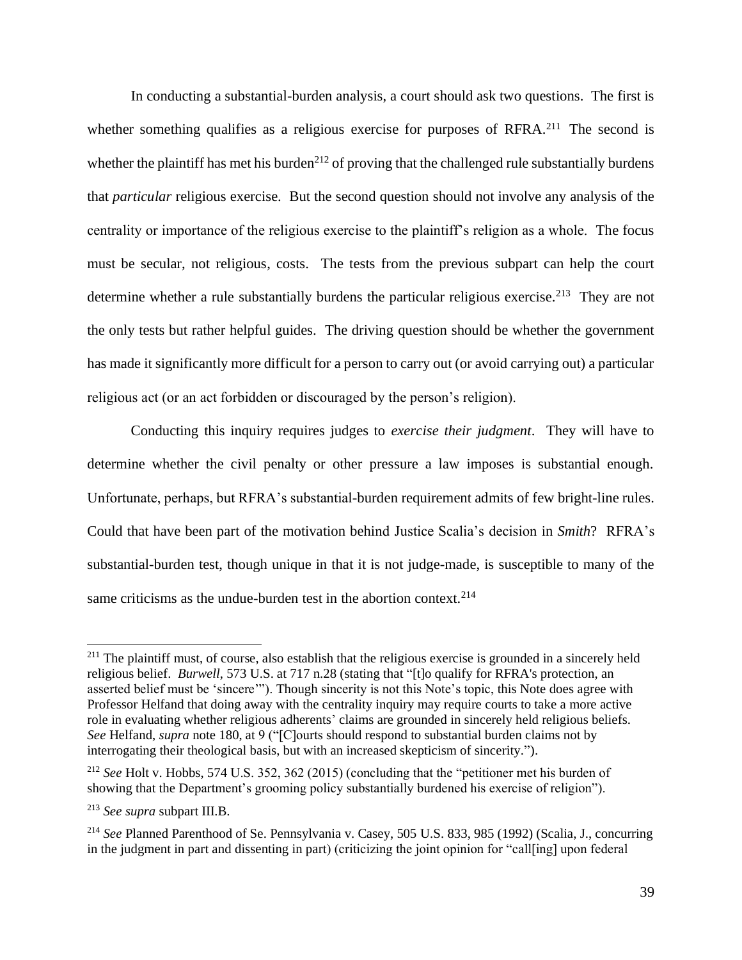In conducting a substantial-burden analysis, a court should ask two questions. The first is whether something qualifies as a religious exercise for purposes of RFRA.<sup>211</sup> The second is whether the plaintiff has met his burden<sup>212</sup> of proving that the challenged rule substantially burdens that *particular* religious exercise. But the second question should not involve any analysis of the centrality or importance of the religious exercise to the plaintiff's religion as a whole. The focus must be secular, not religious, costs. The tests from the previous subpart can help the court determine whether a rule substantially burdens the particular religious exercise.<sup>213</sup> They are not the only tests but rather helpful guides. The driving question should be whether the government has made it significantly more difficult for a person to carry out (or avoid carrying out) a particular religious act (or an act forbidden or discouraged by the person's religion).

Conducting this inquiry requires judges to *exercise their judgment*. They will have to determine whether the civil penalty or other pressure a law imposes is substantial enough. Unfortunate, perhaps, but RFRA's substantial-burden requirement admits of few bright-line rules. Could that have been part of the motivation behind Justice Scalia's decision in *Smith*? RFRA's substantial-burden test, though unique in that it is not judge-made, is susceptible to many of the same criticisms as the undue-burden test in the abortion context.<sup>214</sup>

<sup>&</sup>lt;sup>211</sup> The plaintiff must, of course, also establish that the religious exercise is grounded in a sincerely held religious belief. *Burwell*, 573 U.S. at 717 n.28 (stating that "[t]o qualify for RFRA's protection, an asserted belief must be 'sincere'"). Though sincerity is not this Note's topic, this Note does agree with Professor Helfand that doing away with the centrality inquiry may require courts to take a more active role in evaluating whether religious adherents' claims are grounded in sincerely held religious beliefs. *See* Helfand, *supra* note 180, at 9 ("[C]ourts should respond to substantial burden claims not by interrogating their theological basis, but with an increased skepticism of sincerity.").

<sup>212</sup> *See* Holt v. Hobbs, 574 U.S. 352, 362 (2015) (concluding that the "petitioner met his burden of showing that the Department's grooming policy substantially burdened his exercise of religion").

<sup>213</sup> *See supra* subpart III.B.

<sup>214</sup> *See* Planned Parenthood of Se. Pennsylvania v. Casey, 505 U.S. 833, 985 (1992) (Scalia, J., concurring in the judgment in part and dissenting in part) (criticizing the joint opinion for "call[ing] upon federal